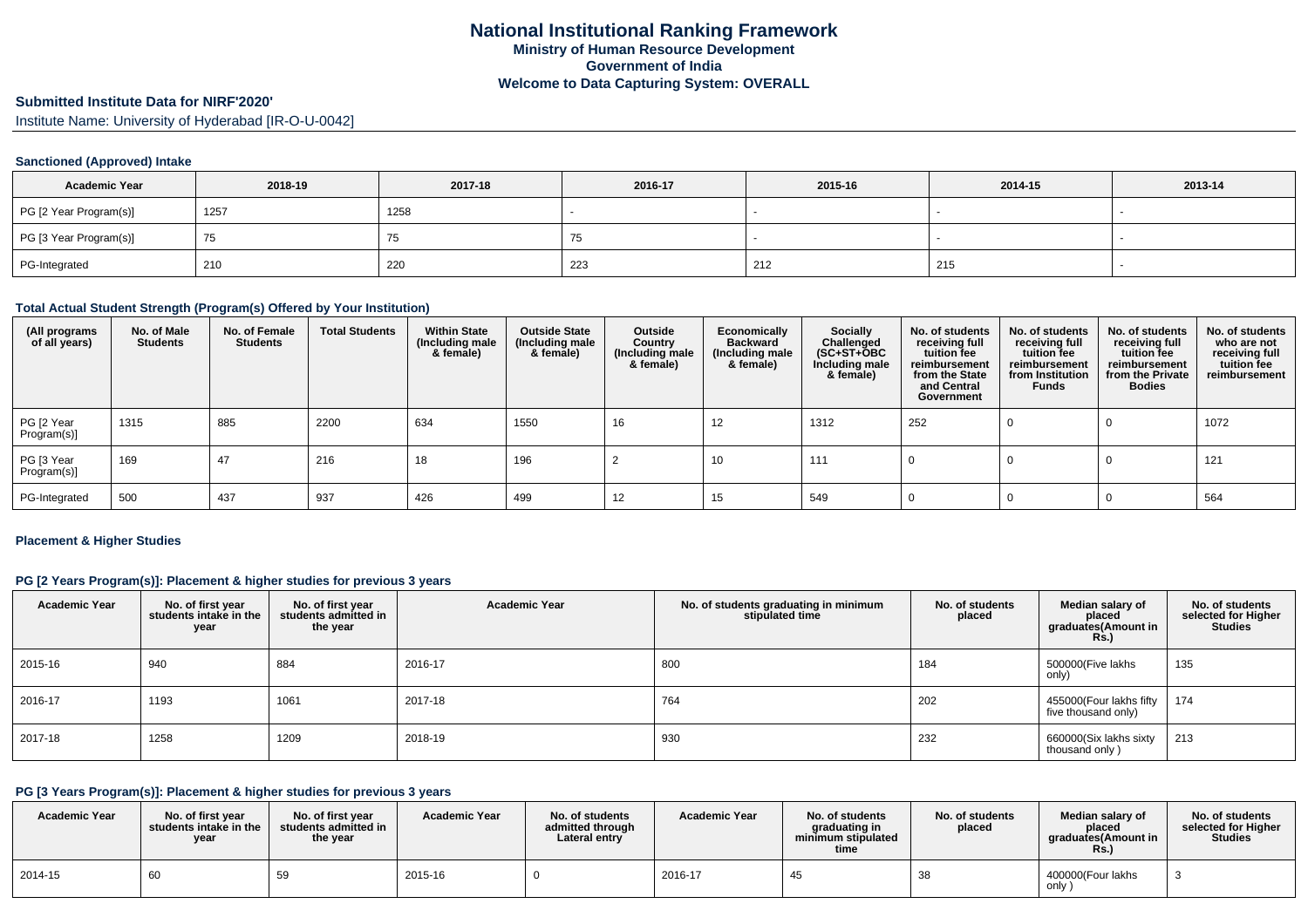# **Submitted Institute Data for NIRF'2020'**

Institute Name: University of Hyderabad [IR-O-U-0042]

### **Sanctioned (Approved) Intake**

| <b>Academic Year</b>   | 2018-19 | 2017-18 | 2016-17 | 2015-16 | 2014-15 | 2013-14 |
|------------------------|---------|---------|---------|---------|---------|---------|
| PG [2 Year Program(s)] | 1257    | 1258    |         |         |         |         |
| PG [3 Year Program(s)] | 75      | ن ،     |         |         |         |         |
| PG-Integrated          | 210     | 220     | 223     | 212     | 215     |         |

#### **Total Actual Student Strength (Program(s) Offered by Your Institution)**

| (All programs<br>of all years) | No. of Male<br><b>Students</b> | No. of Female<br><b>Students</b> | <b>Total Students</b> | <b>Within State</b><br>(Including male<br>& female) | <b>Outside State</b><br>(Including male<br>& female) | Outside<br>Country<br>(Including male<br>& female) | Economically<br><b>Backward</b><br>(Including male<br>& female) | <b>Socially</b><br>Challenged<br>$(SC+ST+OBC)$<br>Including male<br>& female) | No. of students<br>receiving full<br>tuition fee<br>reimbursement<br>from the State<br>and Central<br>Government | No. of students<br>receiving full<br>tuition fee<br>reimbursement<br>from Institution<br><b>Funds</b> | No. of students<br>receiving full<br>tuition fee<br>reimbursement<br>from the Private<br><b>Bodies</b> | No. of students<br>who are not<br>receiving full<br>tuition fee<br>reimbursement |
|--------------------------------|--------------------------------|----------------------------------|-----------------------|-----------------------------------------------------|------------------------------------------------------|----------------------------------------------------|-----------------------------------------------------------------|-------------------------------------------------------------------------------|------------------------------------------------------------------------------------------------------------------|-------------------------------------------------------------------------------------------------------|--------------------------------------------------------------------------------------------------------|----------------------------------------------------------------------------------|
| PG [2 Year<br>Program(s)]      | 1315                           | 885                              | 2200                  | 634                                                 | 1550                                                 | 16                                                 | 12                                                              | 1312                                                                          | 252                                                                                                              |                                                                                                       |                                                                                                        | 1072                                                                             |
| PG [3 Year<br>Program(s)]      | 169                            | 47                               | 216                   | 18                                                  | 196                                                  |                                                    | 10                                                              | 111                                                                           |                                                                                                                  |                                                                                                       |                                                                                                        | 121                                                                              |
| PG-Integrated                  | 500                            | 437                              | 937                   | 426                                                 | 499                                                  | 12                                                 | 15                                                              | 549                                                                           |                                                                                                                  |                                                                                                       |                                                                                                        | 564                                                                              |

#### **Placement & Higher Studies**

## **PG [2 Years Program(s)]: Placement & higher studies for previous 3 years**

| <b>Academic Year</b> | No. of first year<br>students intake in the<br>year | No. of first year<br>students admitted in<br>the year | <b>Academic Year</b> | No. of students graduating in minimum<br>stipulated time | No. of students<br>placed | Median salary of<br>placed<br>graduates(Amount in<br><b>Rs.)</b> | No. of students<br>selected for Higher<br><b>Studies</b> |
|----------------------|-----------------------------------------------------|-------------------------------------------------------|----------------------|----------------------------------------------------------|---------------------------|------------------------------------------------------------------|----------------------------------------------------------|
| 2015-16              | 940                                                 | 884                                                   | 2016-17              | 800                                                      | 184                       | 500000(Five lakhs<br>only)                                       | 135                                                      |
| 2016-17              | 1193                                                | 1061                                                  | 2017-18              | 764                                                      | 202                       | 455000(Four lakhs fifty<br>five thousand only)                   | 174                                                      |
| 2017-18              | 1258                                                | 1209                                                  | 2018-19              | 930                                                      | 232                       | 660000(Six lakhs sixty<br>thousand only)                         | 213                                                      |

#### **PG [3 Years Program(s)]: Placement & higher studies for previous 3 years**

| <b>Academic Year</b> | No. of first year<br>students intake in the<br>year | No. of first year<br>students admitted in<br>the year | <b>Academic Year</b> | No. of students<br>admitted through<br>Lateral entry | <b>Academic Year</b> | No. of students<br>araduating in<br>minimum stipulated<br>time | No. of students<br>placed | Median salarv of<br>placed<br>graduates(Amount in<br>Rs. | No. of students<br>selected for Higher<br><b>Studies</b> |
|----------------------|-----------------------------------------------------|-------------------------------------------------------|----------------------|------------------------------------------------------|----------------------|----------------------------------------------------------------|---------------------------|----------------------------------------------------------|----------------------------------------------------------|
| 2014-15              | 60                                                  | 59                                                    | 2015-16              |                                                      | 2016-17              |                                                                | oс                        | 400000(Four lakhs<br>only                                |                                                          |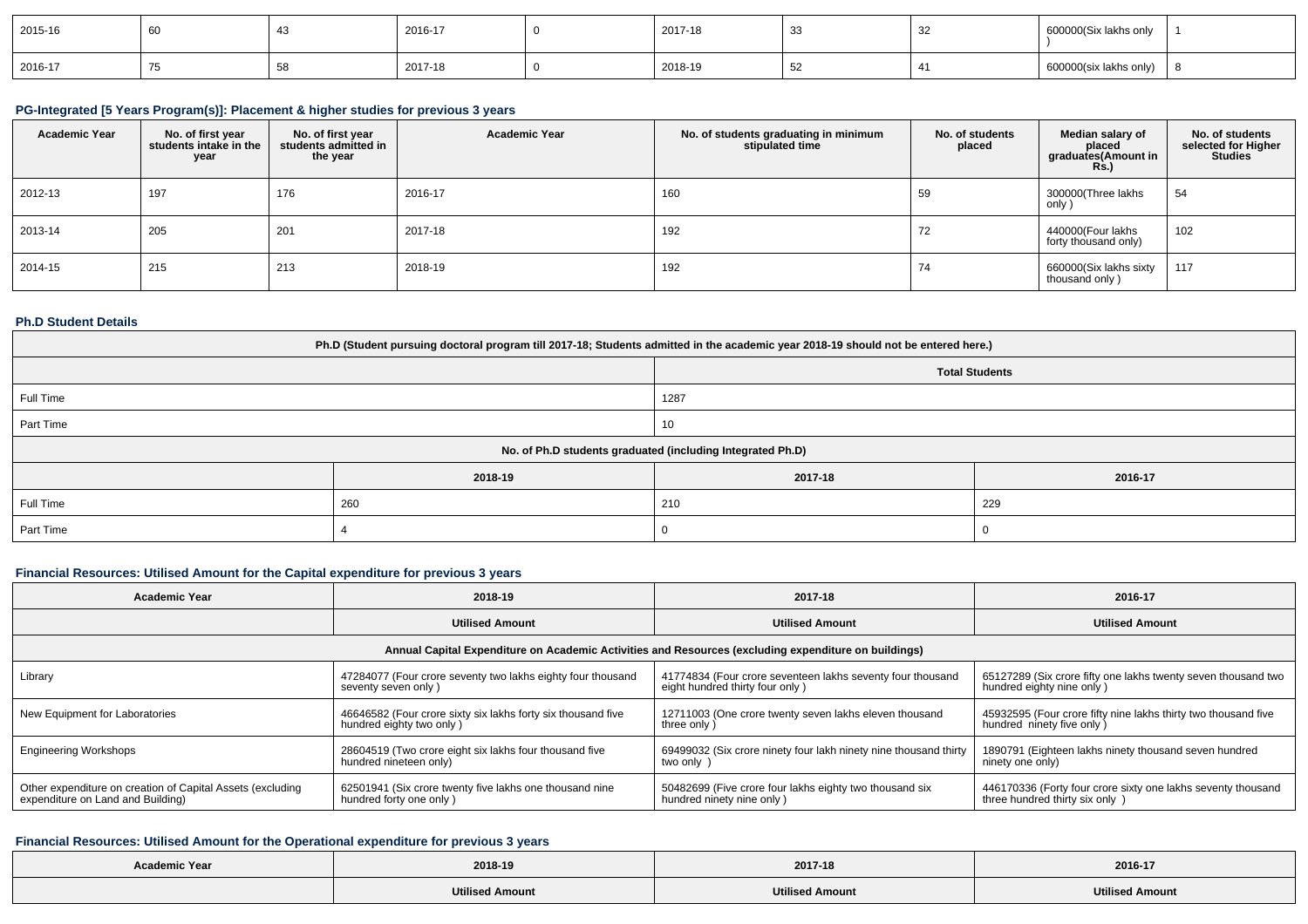| 2015-16 | υv | 2016-17 | 2017-18 | ູບບ | ےت | ବ00000(Six lakhs only  |  |
|---------|----|---------|---------|-----|----|------------------------|--|
| 2016-17 |    | 2017-18 | 2018-19 | ు∠  |    | 600000(six lakhs only) |  |

### **PG-Integrated [5 Years Program(s)]: Placement & higher studies for previous 3 years**

| <b>Academic Year</b> | No. of first year<br>students intake in the<br>year | No. of first year<br>students admitted in<br>the year | <b>Academic Year</b> | No. of students graduating in minimum<br>stipulated time | No. of students<br>placed | Median salary of<br>placed<br>graduates(Amount in<br><b>Rs.)</b> | No. of students<br>selected for Higher<br><b>Studies</b> |
|----------------------|-----------------------------------------------------|-------------------------------------------------------|----------------------|----------------------------------------------------------|---------------------------|------------------------------------------------------------------|----------------------------------------------------------|
| 2012-13              | 197                                                 | 176                                                   | 2016-17              | 160                                                      | 59                        | 300000(Three lakhs<br>only )                                     | 54                                                       |
| 2013-14              | 205                                                 | 201                                                   | 2017-18              | 192                                                      | 72                        | 440000(Four lakhs<br>forty thousand only)                        | 102                                                      |
| 2014-15              | 215                                                 | 213                                                   | 2018-19              | 192                                                      | 74                        | 660000(Six lakhs sixty<br>thousand only)                         | 117                                                      |

## **Ph.D Student Details**

| Ph.D (Student pursuing doctoral program till 2017-18; Students admitted in the academic year 2018-19 should not be entered here.) |         |                                                            |         |  |  |  |
|-----------------------------------------------------------------------------------------------------------------------------------|---------|------------------------------------------------------------|---------|--|--|--|
| <b>Total Students</b>                                                                                                             |         |                                                            |         |  |  |  |
| Full Time                                                                                                                         |         | 1287                                                       |         |  |  |  |
| Part Time                                                                                                                         | 10      |                                                            |         |  |  |  |
|                                                                                                                                   |         | No. of Ph.D students graduated (including Integrated Ph.D) |         |  |  |  |
|                                                                                                                                   | 2018-19 | 2017-18                                                    | 2016-17 |  |  |  |
| Full Time                                                                                                                         | 260     | 210                                                        | 229     |  |  |  |
| Part Time                                                                                                                         |         |                                                            |         |  |  |  |

## **Financial Resources: Utilised Amount for the Capital expenditure for previous 3 years**

| Academic Year                                              | 2018-19                                                                                              | 2017-18                                                          | 2016-17                                                        |  |  |  |  |  |
|------------------------------------------------------------|------------------------------------------------------------------------------------------------------|------------------------------------------------------------------|----------------------------------------------------------------|--|--|--|--|--|
|                                                            | <b>Utilised Amount</b>                                                                               | <b>Utilised Amount</b>                                           | <b>Utilised Amount</b>                                         |  |  |  |  |  |
|                                                            | Annual Capital Expenditure on Academic Activities and Resources (excluding expenditure on buildings) |                                                                  |                                                                |  |  |  |  |  |
| Library                                                    | 47284077 (Four crore seventy two lakhs eighty four thousand                                          | 41774834 (Four crore seventeen lakhs seventy four thousand       | 65127289 (Six crore fifty one lakhs twenty seven thousand two  |  |  |  |  |  |
|                                                            | seventy seven only)                                                                                  | eight hundred thirty four only)                                  | hundred eighty nine only)                                      |  |  |  |  |  |
| New Equipment for Laboratories                             | 46646582 (Four crore sixty six lakhs forty six thousand five                                         | 12711003 (One crore twenty seven lakhs eleven thousand           | 45932595 (Four crore fifty nine lakhs thirty two thousand five |  |  |  |  |  |
|                                                            | hundred eighty two only)                                                                             | three only)                                                      | hundred ninety five only )                                     |  |  |  |  |  |
| <b>Engineering Workshops</b>                               | 28604519 (Two crore eight six lakhs four thousand five                                               | 69499032 (Six crore ninety four lakh ninety nine thousand thirty | 1890791 (Eighteen lakhs ninety thousand seven hundred          |  |  |  |  |  |
|                                                            | hundred nineteen only)                                                                               | two only                                                         | ninety one only)                                               |  |  |  |  |  |
| Other expenditure on creation of Capital Assets (excluding | 62501941 (Six crore twenty five lakhs one thousand nine                                              | 50482699 (Five crore four lakhs eighty two thousand six          | 446170336 (Forty four crore sixty one lakhs seventy thousand   |  |  |  |  |  |
| expenditure on Land and Building)                          | hundred forty one only)                                                                              | hundred ninety nine only)                                        | three hundred thirty six only )                                |  |  |  |  |  |

# **Financial Resources: Utilised Amount for the Operational expenditure for previous 3 years**

| <b>Academic Year</b> | 2018-19                | 2017-18                | 2016-17                |
|----------------------|------------------------|------------------------|------------------------|
|                      | <b>Utilised Amount</b> | <b>Utilised Amount</b> | <b>Utilised Amount</b> |
|                      |                        |                        |                        |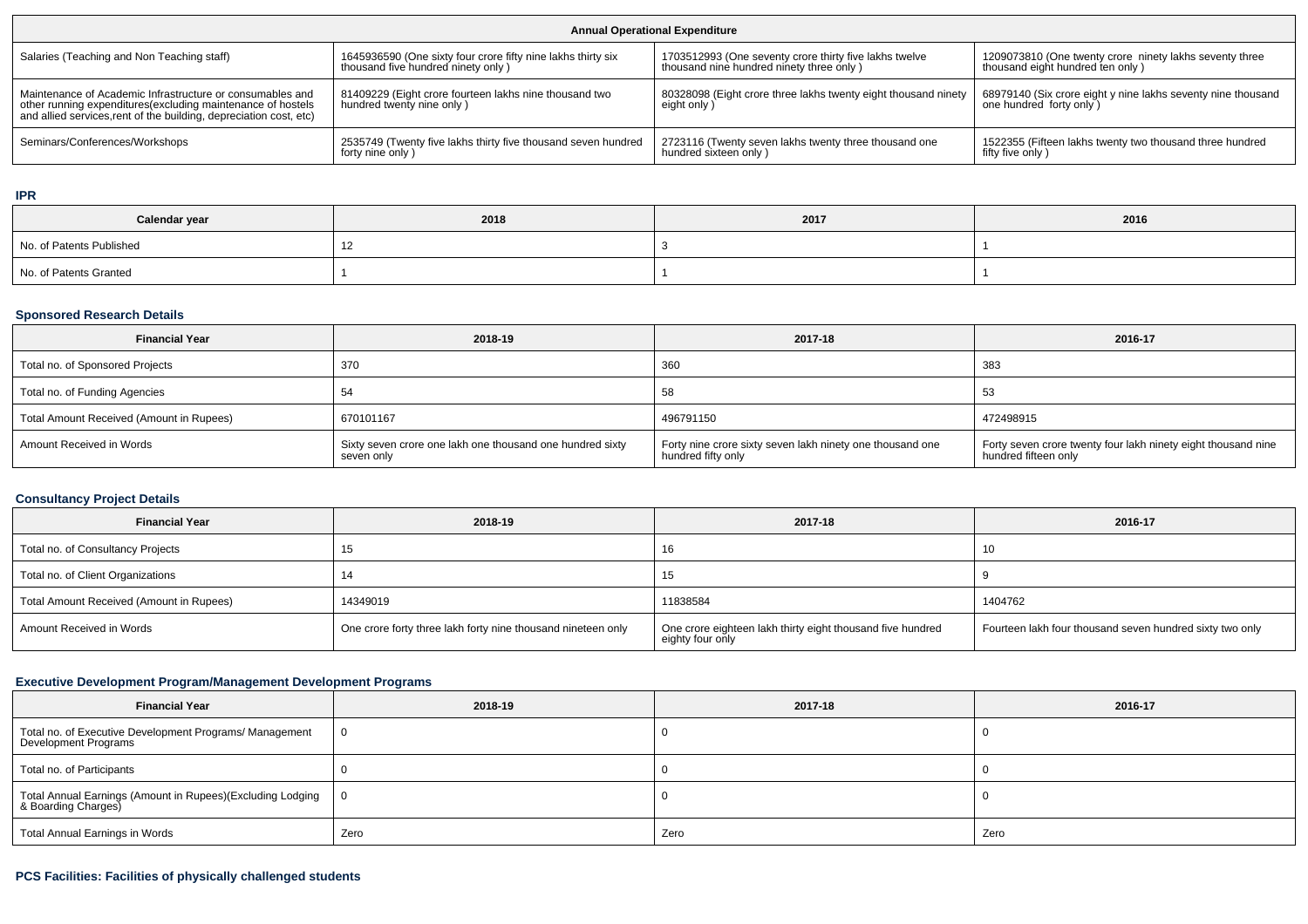| <b>Annual Operational Expenditure</b>                                                                                                                                                           |                                                                                     |                                                                               |                                                                                         |  |  |  |
|-------------------------------------------------------------------------------------------------------------------------------------------------------------------------------------------------|-------------------------------------------------------------------------------------|-------------------------------------------------------------------------------|-----------------------------------------------------------------------------------------|--|--|--|
| Salaries (Teaching and Non Teaching staff)                                                                                                                                                      | 1645936590 (One sixty four crore fifty nine lakhs thirty six                        | 1703512993 (One seventy crore thirty five lakhs twelve                        | 1209073810 (One twenty crore ninety lakhs seventy three                                 |  |  |  |
|                                                                                                                                                                                                 | thousand five hundred ninety only)                                                  | thousand nine hundred ninety three only)                                      | thousand eight hundred ten only)                                                        |  |  |  |
| Maintenance of Academic Infrastructure or consumables and<br>other running expenditures (excluding maintenance of hostels<br>and allied services, rent of the building, depreciation cost, etc) | 81409229 (Eight crore fourteen lakhs nine thousand two<br>hundred twenty nine only) | 80328098 (Eight crore three lakhs twenty eight thousand ninety<br>eight only) | 68979140 (Six crore eight y nine lakhs seventy nine thousand<br>one hundred forty only) |  |  |  |
| Seminars/Conferences/Workshops                                                                                                                                                                  | 2535749 (Twenty five lakhs thirty five thousand seven hundred                       | 2723116 (Twenty seven lakhs twenty three thousand one                         | 1522355 (Fifteen lakhs twenty two thousand three hundred                                |  |  |  |
|                                                                                                                                                                                                 | forty nine only)                                                                    | hundred sixteen only)                                                         | fifty five only)                                                                        |  |  |  |

**IPR**

| Calendar year            | 2018   | 2017 | 2016 |
|--------------------------|--------|------|------|
| No. of Patents Published | $\sim$ |      |      |
| No. of Patents Granted   |        |      |      |

#### **Sponsored Research Details**

| <b>Financial Year</b>                    | 2018-19                                                                 | 2017-18                                                                         | 2016-17                                                                               |
|------------------------------------------|-------------------------------------------------------------------------|---------------------------------------------------------------------------------|---------------------------------------------------------------------------------------|
| Total no. of Sponsored Projects          | 370                                                                     | 360                                                                             | 383                                                                                   |
| Total no. of Funding Agencies            |                                                                         | 58                                                                              | 53                                                                                    |
| Total Amount Received (Amount in Rupees) | 670101167                                                               | 496791150                                                                       | 472498915                                                                             |
| Amount Received in Words                 | Sixty seven crore one lakh one thousand one hundred sixty<br>seven only | Forty nine crore sixty seven lakh ninety one thousand one<br>hundred fifty only | Forty seven crore twenty four lakh ninety eight thousand nine<br>hundred fifteen only |

# **Consultancy Project Details**

| <b>Financial Year</b>                    | 2018-19                                                      | 2017-18                                                                        | 2016-17                                                  |
|------------------------------------------|--------------------------------------------------------------|--------------------------------------------------------------------------------|----------------------------------------------------------|
| Total no. of Consultancy Projects        |                                                              | 16                                                                             | 10                                                       |
| Total no. of Client Organizations        |                                                              | 15                                                                             |                                                          |
| Total Amount Received (Amount in Rupees) | 14349019                                                     | 11838584                                                                       | 1404762                                                  |
| Amount Received in Words                 | One crore forty three lakh forty nine thousand nineteen only | One crore eighteen lakh thirty eight thousand five hundred<br>eighty four only | Fourteen lakh four thousand seven hundred sixty two only |

# **Executive Development Program/Management Development Programs**

| <b>Financial Year</b>                                                           | 2018-19 | 2017-18 | 2016-17 |
|---------------------------------------------------------------------------------|---------|---------|---------|
| Total no. of Executive Development Programs/ Management<br>Development Programs |         |         |         |
| Total no. of Participants                                                       |         |         |         |
| Total Annual Earnings (Amount in Rupees)(Excluding Lodging                      |         |         |         |
| Total Annual Earnings in Words                                                  | Zero    | Zero    | Zero    |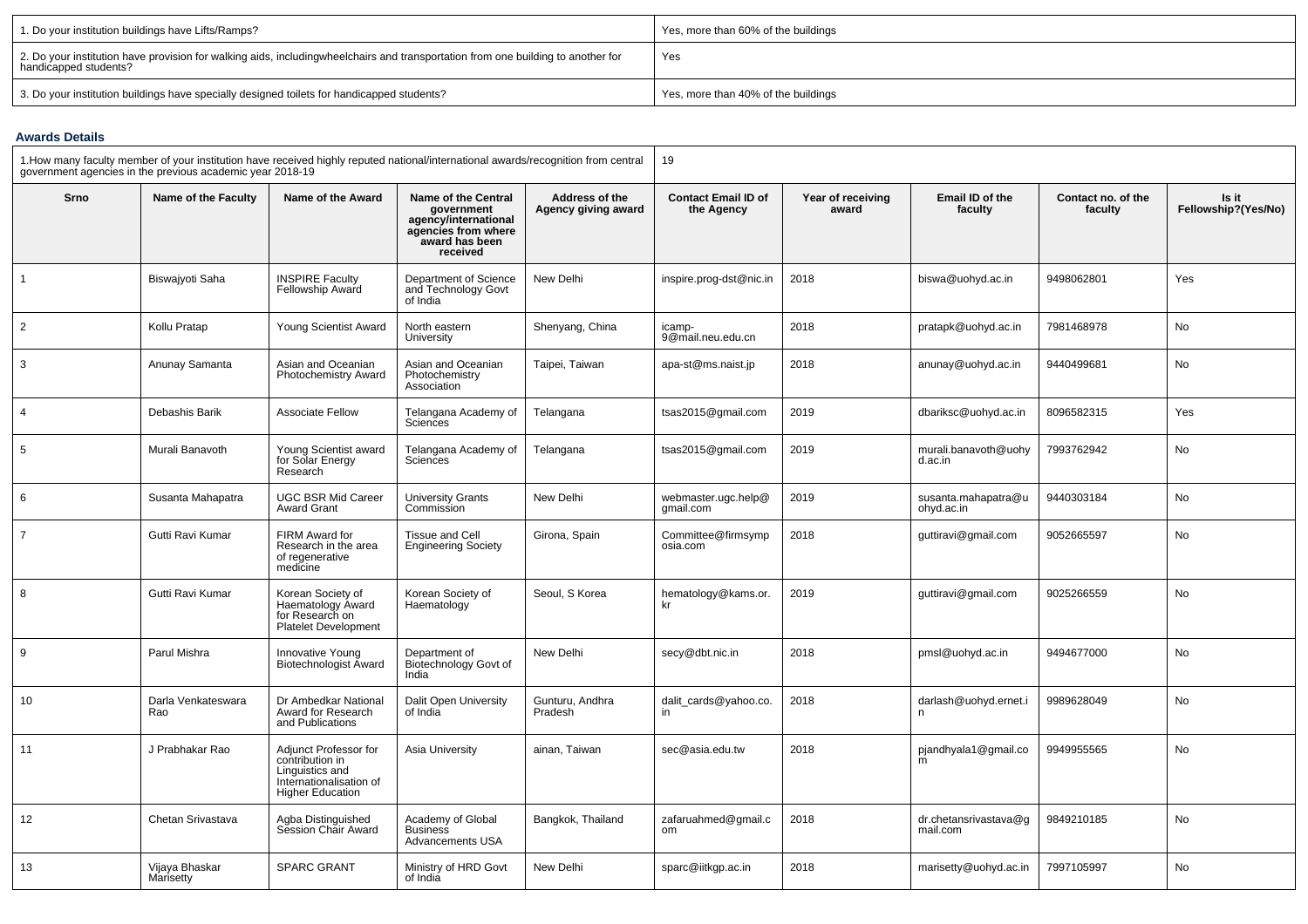| 1. Do your institution buildings have Lifts/Ramps?                                                                                                        | Yes, more than 60% of the buildings |
|-----------------------------------------------------------------------------------------------------------------------------------------------------------|-------------------------------------|
| 2. Do your institution have provision for walking aids, includingwheelchairs and transportation from one building to another for<br>handicapped students? | Yes                                 |
| 3. Do your institution buildings have specially designed toilets for handicapped students?                                                                | Yes, more than 40% of the buildings |

#### **Awards Details**

| 1. How many faculty member of your institution have received highly reputed national/international awards/recognition from central<br>government agencies in the previous academic year 2018-19 |                             |                                                                                                                   |                                                                                                                |                                       | 19                                       |                            |                                   |                               |                              |
|-------------------------------------------------------------------------------------------------------------------------------------------------------------------------------------------------|-----------------------------|-------------------------------------------------------------------------------------------------------------------|----------------------------------------------------------------------------------------------------------------|---------------------------------------|------------------------------------------|----------------------------|-----------------------------------|-------------------------------|------------------------------|
| Srno                                                                                                                                                                                            | Name of the Faculty         | Name of the Award                                                                                                 | Name of the Central<br>government<br>agency/international<br>agencies from where<br>award has been<br>received | Address of the<br>Agency giving award | <b>Contact Email ID of</b><br>the Agency | Year of receiving<br>award | Email ID of the<br>faculty        | Contact no. of the<br>faculty | Is it<br>Fellowship?(Yes/No) |
| 1                                                                                                                                                                                               | Biswajyoti Saha             | <b>INSPIRE Faculty</b><br>Fellowship Award                                                                        | Department of Science<br>and Technology Govt<br>of India                                                       | New Delhi                             | inspire.prog-dst@nic.in                  | 2018                       | biswa@uohyd.ac.in                 | 9498062801                    | Yes                          |
| $\overline{2}$                                                                                                                                                                                  | Kollu Pratap                | Young Scientist Award                                                                                             | North eastern<br>University                                                                                    | Shenyang, China                       | icamp-<br>9@mail.neu.edu.cn              | 2018                       | pratapk@uohyd.ac.in               | 7981468978                    | No                           |
| 3                                                                                                                                                                                               | Anunay Samanta              | Asian and Oceanian<br>Photochemistry Award                                                                        | Asian and Oceanian<br>Photochemistry<br>Association                                                            | Taipei, Taiwan                        | apa-st@ms.naist.jp                       | 2018                       | anunay@uohyd.ac.in                | 9440499681                    | No                           |
| 4                                                                                                                                                                                               | Debashis Barik              | <b>Associate Fellow</b>                                                                                           | Telangana Academy of<br>Sciences                                                                               | Telangana                             | tsas2015@gmail.com                       | 2019                       | dbariksc@uohyd.ac.in              | 8096582315                    | Yes                          |
| 5                                                                                                                                                                                               | Murali Banavoth             | Young Scientist award<br>for Solar Energy<br>Research                                                             | Telangana Academy of<br><b>Sciences</b>                                                                        | Telangana                             | tsas2015@gmail.com                       | 2019                       | murali.banavoth@uohy<br>d.ac.in   | 7993762942                    | No                           |
| 6                                                                                                                                                                                               | Susanta Mahapatra           | UGC BSR Mid Career<br><b>Award Grant</b>                                                                          | <b>University Grants</b><br>Commission                                                                         | New Delhi                             | webmaster.ugc.help@<br>gmail.com         | 2019                       | susanta.mahapatra@u<br>ohyd.ac.in | 9440303184                    | No                           |
|                                                                                                                                                                                                 | Gutti Ravi Kumar            | FIRM Award for<br>Research in the area<br>of regenerative<br>medicine                                             | <b>Tissue and Cell</b><br><b>Engineering Society</b>                                                           | Girona, Spain                         | Committee@firmsymp<br>osia.com           | 2018                       | guttiravi@gmail.com               | 9052665597                    | No                           |
| 8                                                                                                                                                                                               | Gutti Ravi Kumar            | Korean Society of<br>Haematology Award<br>for Research on<br><b>Platelet Development</b>                          | Korean Society of<br>Haematology                                                                               | Seoul, S Korea                        | hematology@kams.or.<br>kr                | 2019                       | guttiravi@gmail.com               | 9025266559                    | No                           |
| 9                                                                                                                                                                                               | Parul Mishra                | Innovative Young<br><b>Biotechnologist Award</b>                                                                  | Department of<br>Biotechnology Govt of<br>India                                                                | New Delhi                             | secy@dbt.nic.in                          | 2018                       | pmsl@uohyd.ac.in                  | 9494677000                    | No                           |
| 10                                                                                                                                                                                              | Darla Venkateswara<br>Rao   | Dr Ambedkar National<br>Award for Research<br>and Publications                                                    | Dalit Open University<br>of India                                                                              | Gunturu, Andhra<br>Pradesh            | dalit_cards@yahoo.co.<br>in.             | 2018                       | darlash@uohyd.ernet.i<br>n        | 9989628049                    | No                           |
| 11                                                                                                                                                                                              | J Prabhakar Rao             | Adjunct Professor for<br>contribution in<br>Linguistics and<br>Internationalisation of<br><b>Higher Education</b> | Asia University                                                                                                | ainan, Taiwan                         | sec@asia.edu.tw                          | 2018                       | pjandhyala1@gmail.co<br>m         | 9949955565                    | No                           |
| 12                                                                                                                                                                                              | Chetan Srivastava           | Agba Distinguished<br>Session Chair Award                                                                         | Academy of Global<br><b>Business</b><br><b>Advancements USA</b>                                                | Bangkok, Thailand                     | zafaruahmed@gmail.c<br>om                | 2018                       | dr.chetansrivastava@g<br>mail.com | 9849210185                    | No                           |
| 13                                                                                                                                                                                              | Vijaya Bhaskar<br>Marisetty | <b>SPARC GRANT</b>                                                                                                | Ministry of HRD Govt<br>of India                                                                               | New Delhi                             | sparc@iitkgp.ac.in                       | 2018                       | marisetty@uohyd.ac.in             | 7997105997                    | No                           |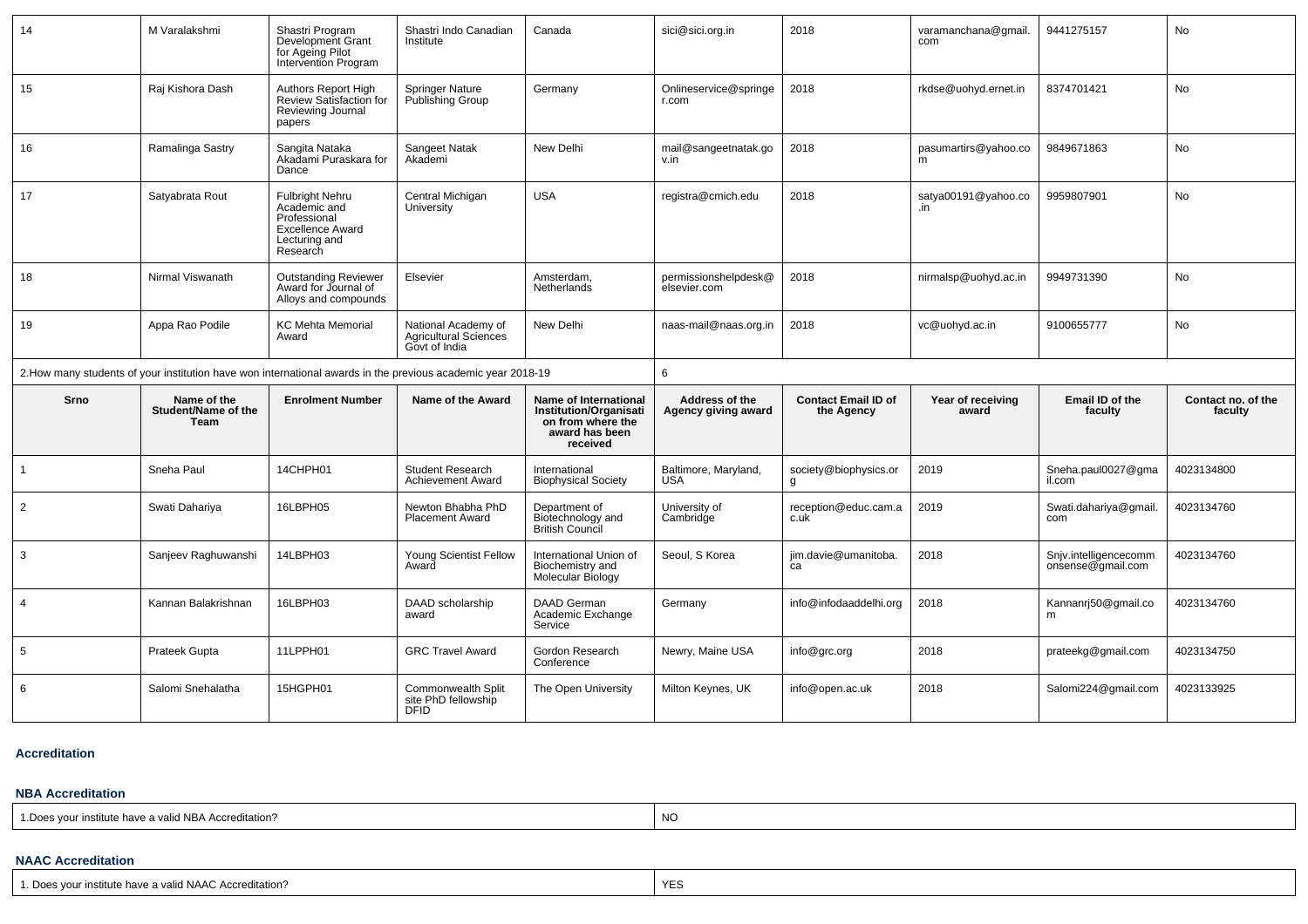| 14             | M Varalakshmi                                                                                                | Shastri Program<br>Development Grant<br>for Ageing Pilot<br><b>Intervention Program</b>                        | Shastri Indo Canadian<br>Institute                                   | Canada                                                                                                    | sici@sici.org.in                      | 2018                                     | varamanchana@qmail.<br>com | 9441275157                                 | <b>No</b>                     |  |  |
|----------------|--------------------------------------------------------------------------------------------------------------|----------------------------------------------------------------------------------------------------------------|----------------------------------------------------------------------|-----------------------------------------------------------------------------------------------------------|---------------------------------------|------------------------------------------|----------------------------|--------------------------------------------|-------------------------------|--|--|
| 15             | Raj Kishora Dash                                                                                             | Authors Report High<br>Review Satisfaction for<br>Reviewing Journal<br>papers                                  | <b>Springer Nature</b><br>Publishing Group                           | Germany                                                                                                   | Onlineservice@springe<br>r.com        | 2018                                     | rkdse@uohyd.ernet.in       | 8374701421                                 | <b>No</b>                     |  |  |
| 16             | Ramalinga Sastry                                                                                             | Sangita Nataka<br>Akadami Puraskara for<br>Dance                                                               | Sangeet Natak<br>Akademi                                             | New Delhi                                                                                                 | mail@sangeetnatak.go<br>v.in          | 2018                                     | pasumartirs@yahoo.co<br>m  | 9849671863                                 | No                            |  |  |
| 17             | Satyabrata Rout                                                                                              | <b>Fulbright Nehru</b><br>Academic and<br>Professional<br><b>Excellence Award</b><br>Lecturing and<br>Research | Central Michigan<br>University                                       | <b>USA</b>                                                                                                | registra@cmich.edu                    | 2018                                     | satya00191@yahoo.co<br>.in | 9959807901                                 | <b>No</b>                     |  |  |
| 18             | Nirmal Viswanath                                                                                             | <b>Outstanding Reviewer</b><br>Award for Journal of<br>Alloys and compounds                                    | Elsevier                                                             | Amsterdam,<br>Netherlands                                                                                 | permissionshelpdesk@<br>elsevier.com  | 2018                                     | nirmalsp@uohyd.ac.in       | 9949731390                                 | <b>No</b>                     |  |  |
| 19             | Appa Rao Podile                                                                                              | <b>KC Mehta Memorial</b><br>Award                                                                              | National Academy of<br><b>Agricultural Sciences</b><br>Govt of India | New Delhi                                                                                                 | naas-mail@naas.org.in                 | 2018                                     | vc@uohyd.ac.in             | 9100655777                                 | No                            |  |  |
|                | 2. How many students of your institution have won international awards in the previous academic year 2018-19 |                                                                                                                |                                                                      |                                                                                                           | 6                                     |                                          |                            |                                            |                               |  |  |
| Srno           | Name of the<br>Student/Name of the<br>Team                                                                   | <b>Enrolment Number</b>                                                                                        | Name of the Award                                                    | Name of International<br><b>Institution/Organisati</b><br>on from where the<br>award has been<br>received | Address of the<br>Agency giving award | <b>Contact Email ID of</b><br>the Agency | Year of receiving<br>award | Email ID of the<br>faculty                 | Contact no. of the<br>faculty |  |  |
| -1             | Sneha Paul                                                                                                   | 14CHPH01                                                                                                       | <b>Student Research</b><br>Achievement Award                         | International<br><b>Biophysical Society</b>                                                               | Baltimore, Maryland,<br><b>USA</b>    | society@biophysics.or<br>g               | 2019                       | Sneha.paul0027@gma<br>il.com               | 4023134800                    |  |  |
| $\overline{2}$ | Swati Dahariya                                                                                               | 16LBPH05                                                                                                       | Newton Bhabha PhD<br><b>Placement Award</b>                          | Department of<br>Biotechnology and<br><b>British Council</b>                                              | University of<br>Cambridge            | reception@educ.cam.a<br>c.uk             | 2019                       | Swati.dahariya@gmail.<br>com               | 4023134760                    |  |  |
| 3              | Sanjeev Raghuwanshi                                                                                          | 14LBPH03                                                                                                       | <b>Young Scientist Fellow</b><br>Award                               | International Union of<br>Biochemistry and<br>Molecular Biology                                           | Seoul, S Korea                        | jim.davie@umanitoba.<br>ca               | 2018                       | Snjv.intelligencecomm<br>onsense@gmail.com | 4023134760                    |  |  |
| $\overline{4}$ | Kannan Balakrishnan                                                                                          | 16LBPH03                                                                                                       | DAAD scholarship<br>award                                            | DAAD German<br>Academic Exchange<br>Service                                                               | Germany                               | info@infodaaddelhi.org                   | 2018                       | Kannanrj50@gmail.co<br>m                   | 4023134760                    |  |  |
| 5              | Prateek Gupta                                                                                                | 11LPPH01                                                                                                       | <b>GRC Travel Award</b>                                              | Gordon Research<br>Conference                                                                             | Newry, Maine USA                      | info@grc.org                             | 2018                       | prateekg@gmail.com                         | 4023134750                    |  |  |
| 6              | Salomi Snehalatha                                                                                            | 15HGPH01                                                                                                       | Commonwealth Split<br>site PhD fellowship<br><b>DFID</b>             | The Open University                                                                                       | Milton Keynes, UK                     | info@open.ac.uk                          | 2018                       | Salomi224@gmail.com                        | 4023133925                    |  |  |

#### **Accreditation**

#### **NBA Accreditation**

1.Does your institute have a valid NBA Accreditation?explorer than the contract of the contract of the contract of the contract of the contract of the contract of the contract of the contract of the contract of the contract of the contract of the contract of the contract of

#### **NAAC Accreditation**

| $\sim$<br><b>AIA A</b><br>Doe<br>- V L<br>→ valid NAAC Accreditation ·<br>. vour institute nave<br>า v r : ศ |  |
|--------------------------------------------------------------------------------------------------------------|--|
|--------------------------------------------------------------------------------------------------------------|--|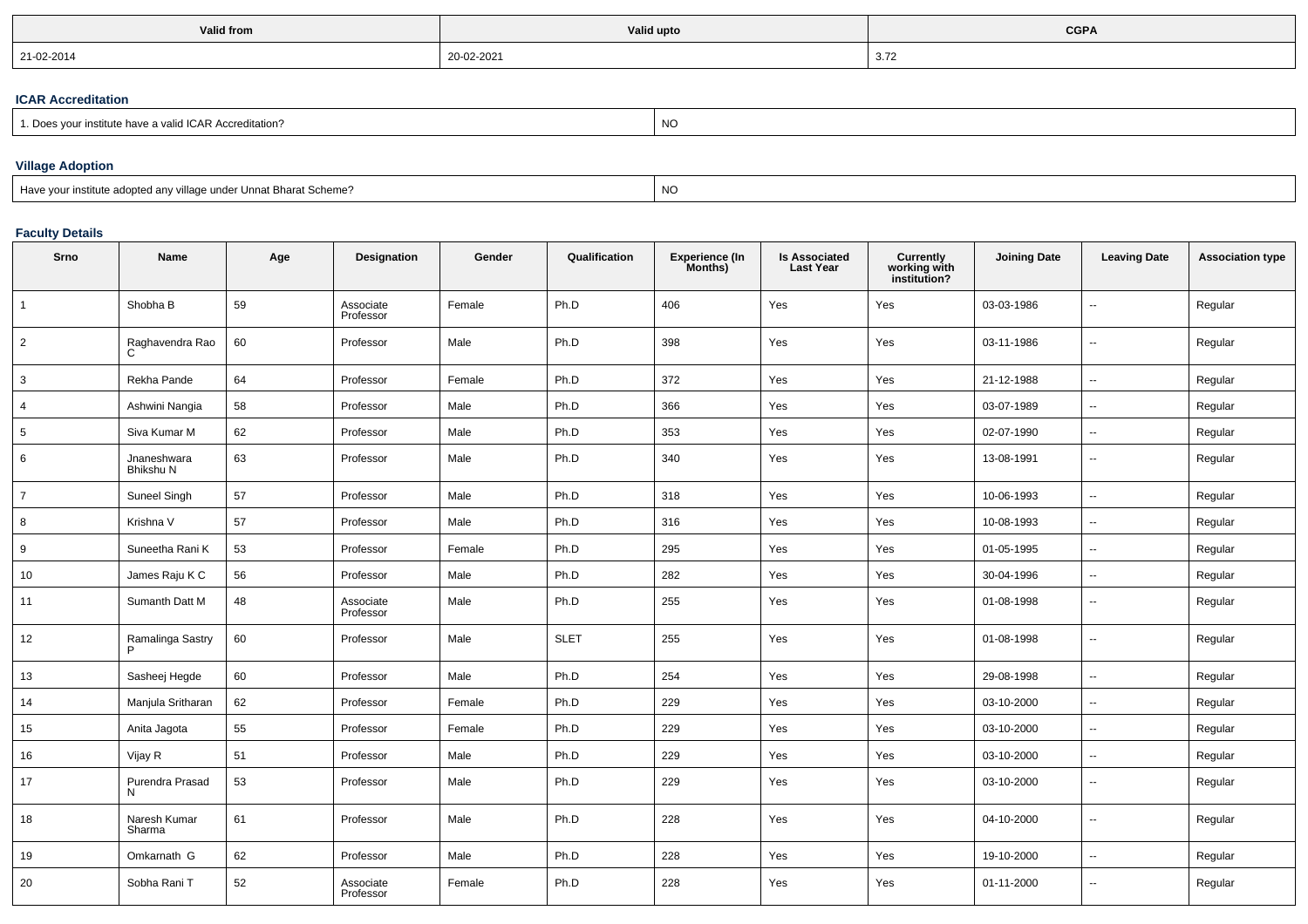| <b>Valid from</b> | Valid upto | <b>CGPA</b> |  |  |
|-------------------|------------|-------------|--|--|
| 21-02-2014        | 20-02-2021 | 3.72        |  |  |

## **ICAR Accreditation**

| - -<br>editation<br>" VAIIO IUAR AU.<br>. nave | יע |
|------------------------------------------------|----|
|------------------------------------------------|----|

# **Village Adoption**

| Have your institute adopted any village under Unnat Bharat Scheme? | NO. |
|--------------------------------------------------------------------|-----|
|--------------------------------------------------------------------|-----|

# **Faculty Details**

| Srno           | Name                     | Age | Designation            | Gender | Qualification | <b>Experience (In</b><br>Months) | <b>Is Associated</b><br><b>Last Year</b> | <b>Currently</b><br>working with<br>institution? | <b>Joining Date</b> | <b>Leaving Date</b>      | <b>Association type</b> |
|----------------|--------------------------|-----|------------------------|--------|---------------|----------------------------------|------------------------------------------|--------------------------------------------------|---------------------|--------------------------|-------------------------|
| $\overline{1}$ | Shobha B                 | 59  | Associate<br>Professor | Female | Ph.D          | 406                              | Yes                                      | Yes                                              | 03-03-1986          | $\overline{a}$           | Regular                 |
| 2              | Raghavendra Rao<br>C     | 60  | Professor              | Male   | Ph.D          | 398                              | Yes                                      | Yes                                              | 03-11-1986          | $\overline{\phantom{a}}$ | Regular                 |
| 3              | Rekha Pande              | 64  | Professor              | Female | Ph.D          | 372                              | Yes                                      | Yes                                              | 21-12-1988          | ÷.                       | Regular                 |
| $\overline{4}$ | Ashwini Nangia           | 58  | Professor              | Male   | Ph.D          | 366                              | Yes                                      | Yes                                              | 03-07-1989          | н.                       | Regular                 |
| 5              | Siva Kumar M             | 62  | Professor              | Male   | Ph.D          | 353                              | Yes                                      | Yes                                              | 02-07-1990          | --                       | Regular                 |
| 6              | Jnaneshwara<br>Bhikshu N | 63  | Professor              | Male   | Ph.D          | 340                              | Yes                                      | Yes                                              | 13-08-1991          | $\overline{\phantom{a}}$ | Regular                 |
| $\overline{7}$ | <b>Suneel Singh</b>      | 57  | Professor              | Male   | Ph.D          | 318                              | Yes                                      | Yes                                              | 10-06-1993          | Ξ.                       | Regular                 |
| 8              | Krishna V                | 57  | Professor              | Male   | Ph.D          | 316                              | Yes                                      | Yes                                              | 10-08-1993          | Ξ.                       | Regular                 |
| 9              | Suneetha Rani K          | 53  | Professor              | Female | Ph.D          | 295                              | Yes                                      | Yes                                              | 01-05-1995          | Ξ.                       | Regular                 |
| 10             | James Raju K C           | 56  | Professor              | Male   | Ph.D          | 282                              | Yes                                      | Yes                                              | 30-04-1996          | $\overline{\phantom{a}}$ | Regular                 |
| 11             | Sumanth Datt M           | 48  | Associate<br>Professor | Male   | Ph.D          | 255                              | Yes                                      | Yes                                              | 01-08-1998          | --                       | Regular                 |
| 12             | Ramalinga Sastry<br>P    | 60  | Professor              | Male   | <b>SLET</b>   | 255                              | Yes                                      | Yes                                              | 01-08-1998          | $\overline{\phantom{a}}$ | Regular                 |
| 13             | Sasheej Hegde            | 60  | Professor              | Male   | Ph.D          | 254                              | Yes                                      | Yes                                              | 29-08-1998          | $\overline{\phantom{a}}$ | Regular                 |
| 14             | Manjula Sritharan        | 62  | Professor              | Female | Ph.D          | 229                              | Yes                                      | Yes                                              | 03-10-2000          | ÷.                       | Regular                 |
| 15             | Anita Jagota             | 55  | Professor              | Female | Ph.D          | 229                              | Yes                                      | Yes                                              | 03-10-2000          | $\overline{\phantom{a}}$ | Regular                 |
| 16             | Vijay R                  | 51  | Professor              | Male   | Ph.D          | 229                              | Yes                                      | Yes                                              | 03-10-2000          | ÷.                       | Regular                 |
| 17             | Purendra Prasad<br>N     | 53  | Professor              | Male   | Ph.D          | 229                              | Yes                                      | Yes                                              | 03-10-2000          | $\overline{\phantom{a}}$ | Regular                 |
| 18             | Naresh Kumar<br>Sharma   | 61  | Professor              | Male   | Ph.D          | 228                              | Yes                                      | Yes                                              | 04-10-2000          | Ξ.                       | Regular                 |
| 19             | Omkarnath G              | 62  | Professor              | Male   | Ph.D          | 228                              | Yes                                      | Yes                                              | 19-10-2000          | --                       | Regular                 |
| 20             | Sobha Rani T             | 52  | Associate<br>Professor | Female | Ph.D          | 228                              | Yes                                      | Yes                                              | 01-11-2000          | ٠.                       | Regular                 |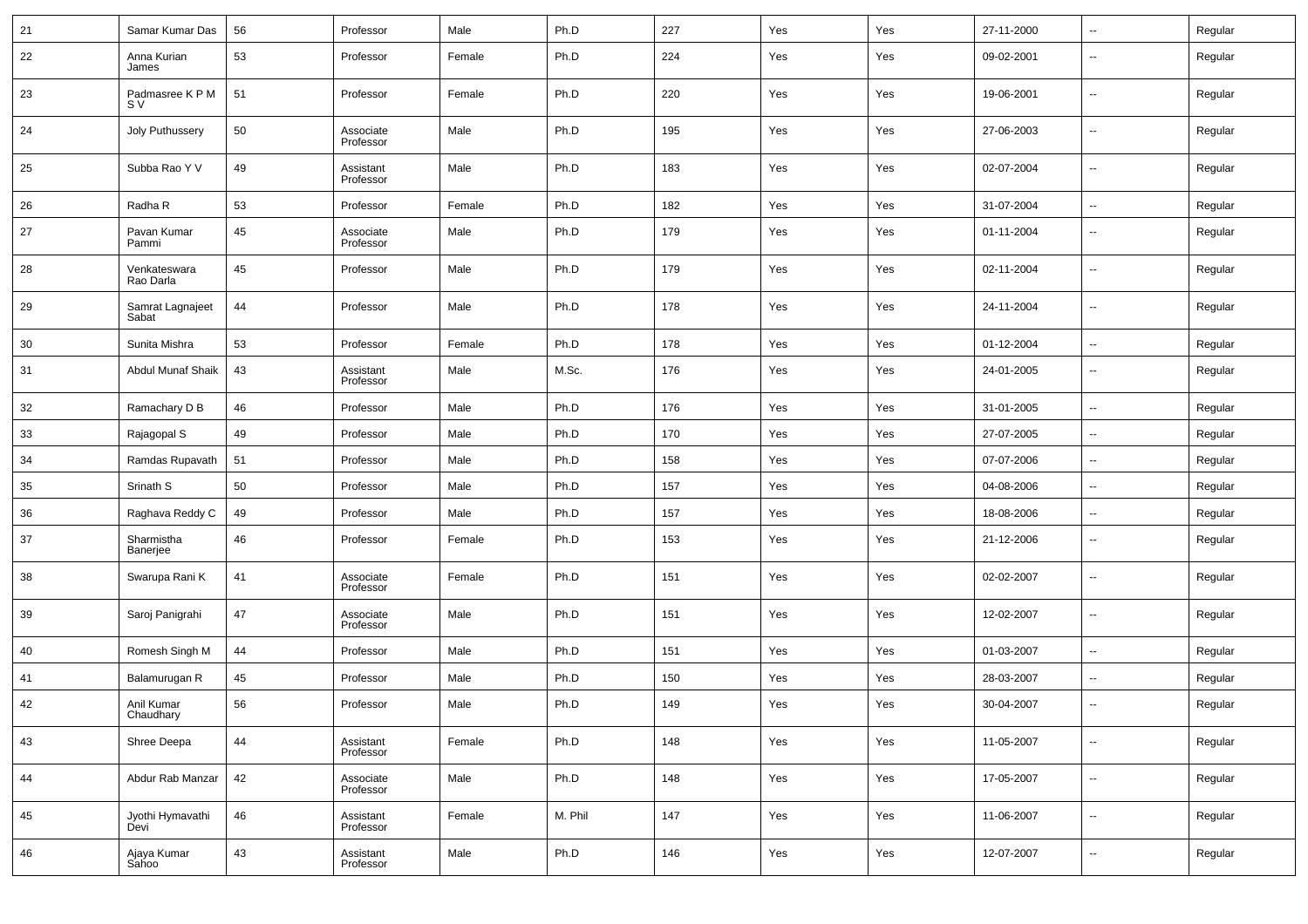| 21 | Samar Kumar Das           | 56 | Professor              | Male   | Ph.D    | 227 | Yes | Yes | 27-11-2000 | $\overline{\phantom{a}}$ | Regular |
|----|---------------------------|----|------------------------|--------|---------|-----|-----|-----|------------|--------------------------|---------|
| 22 | Anna Kurian<br>James      | 53 | Professor              | Female | Ph.D    | 224 | Yes | Yes | 09-02-2001 | $\overline{\phantom{a}}$ | Regular |
| 23 | Padmasree K P M<br>S V    | 51 | Professor              | Female | Ph.D    | 220 | Yes | Yes | 19-06-2001 | $\overline{\phantom{a}}$ | Regular |
| 24 | Joly Puthussery           | 50 | Associate<br>Professor | Male   | Ph.D    | 195 | Yes | Yes | 27-06-2003 | $\overline{\phantom{a}}$ | Regular |
| 25 | Subba Rao Y V             | 49 | Assistant<br>Professor | Male   | Ph.D    | 183 | Yes | Yes | 02-07-2004 | $\overline{\phantom{a}}$ | Regular |
| 26 | Radha R                   | 53 | Professor              | Female | Ph.D    | 182 | Yes | Yes | 31-07-2004 | $\overline{\phantom{a}}$ | Regular |
| 27 | Pavan Kumar<br>Pammi      | 45 | Associate<br>Professor | Male   | Ph.D    | 179 | Yes | Yes | 01-11-2004 | $\overline{\phantom{a}}$ | Regular |
| 28 | Venkateswara<br>Rao Darla | 45 | Professor              | Male   | Ph.D    | 179 | Yes | Yes | 02-11-2004 | $\overline{\phantom{a}}$ | Regular |
| 29 | Samrat Lagnajeet<br>Sabat | 44 | Professor              | Male   | Ph.D    | 178 | Yes | Yes | 24-11-2004 | $\overline{\phantom{a}}$ | Regular |
| 30 | Sunita Mishra             | 53 | Professor              | Female | Ph.D    | 178 | Yes | Yes | 01-12-2004 | $\sim$                   | Regular |
| 31 | Abdul Munaf Shaik         | 43 | Assistant<br>Professor | Male   | M.Sc.   | 176 | Yes | Yes | 24-01-2005 | $\overline{\phantom{a}}$ | Regular |
| 32 | Ramachary D B             | 46 | Professor              | Male   | Ph.D    | 176 | Yes | Yes | 31-01-2005 | $\overline{\phantom{a}}$ | Regular |
| 33 | Rajagopal S               | 49 | Professor              | Male   | Ph.D    | 170 | Yes | Yes | 27-07-2005 | $\overline{\phantom{a}}$ | Regular |
| 34 | Ramdas Rupavath           | 51 | Professor              | Male   | Ph.D    | 158 | Yes | Yes | 07-07-2006 | $\sim$                   | Regular |
| 35 | Srinath S                 | 50 | Professor              | Male   | Ph.D    | 157 | Yes | Yes | 04-08-2006 | $\overline{\phantom{a}}$ | Regular |
| 36 | Raghava Reddy C           | 49 | Professor              | Male   | Ph.D    | 157 | Yes | Yes | 18-08-2006 | $\overline{\phantom{a}}$ | Regular |
| 37 | Sharmistha<br>Banerjee    | 46 | Professor              | Female | Ph.D    | 153 | Yes | Yes | 21-12-2006 | $\sim$                   | Regular |
| 38 | Swarupa Rani K            | 41 | Associate<br>Professor | Female | Ph.D    | 151 | Yes | Yes | 02-02-2007 | $\overline{\phantom{a}}$ | Regular |
| 39 | Saroj Panigrahi           | 47 | Associate<br>Professor | Male   | Ph.D    | 151 | Yes | Yes | 12-02-2007 | $\overline{\phantom{a}}$ | Regular |
| 40 | Romesh Singh M            | 44 | Professor              | Male   | Ph.D    | 151 | Yes | Yes | 01-03-2007 | $\sim$                   | Regular |
| 41 | Balamurugan R             | 45 | Professor              | Male   | Ph.D    | 150 | Yes | Yes | 28-03-2007 | $\overline{\phantom{a}}$ | Regular |
| 42 | Anil Kumar<br>Chaudhary   | 56 | Professor              | Male   | Ph.D    | 149 | Yes | Yes | 30-04-2007 | $\overline{\phantom{a}}$ | Regular |
| 43 | Shree Deepa               | 44 | Assistant<br>Professor | Female | Ph.D    | 148 | Yes | Yes | 11-05-2007 | $\sim$                   | Regular |
| 44 | Abdur Rab Manzar          | 42 | Associate<br>Professor | Male   | Ph.D    | 148 | Yes | Yes | 17-05-2007 | $\overline{\phantom{a}}$ | Regular |
| 45 | Jyothi Hymavathi<br>Devi  | 46 | Assistant<br>Professor | Female | M. Phil | 147 | Yes | Yes | 11-06-2007 | $\sim$                   | Regular |
| 46 | Ajaya Kumar<br>Sahoo      | 43 | Assistant<br>Professor | Male   | Ph.D    | 146 | Yes | Yes | 12-07-2007 | $\overline{\phantom{a}}$ | Regular |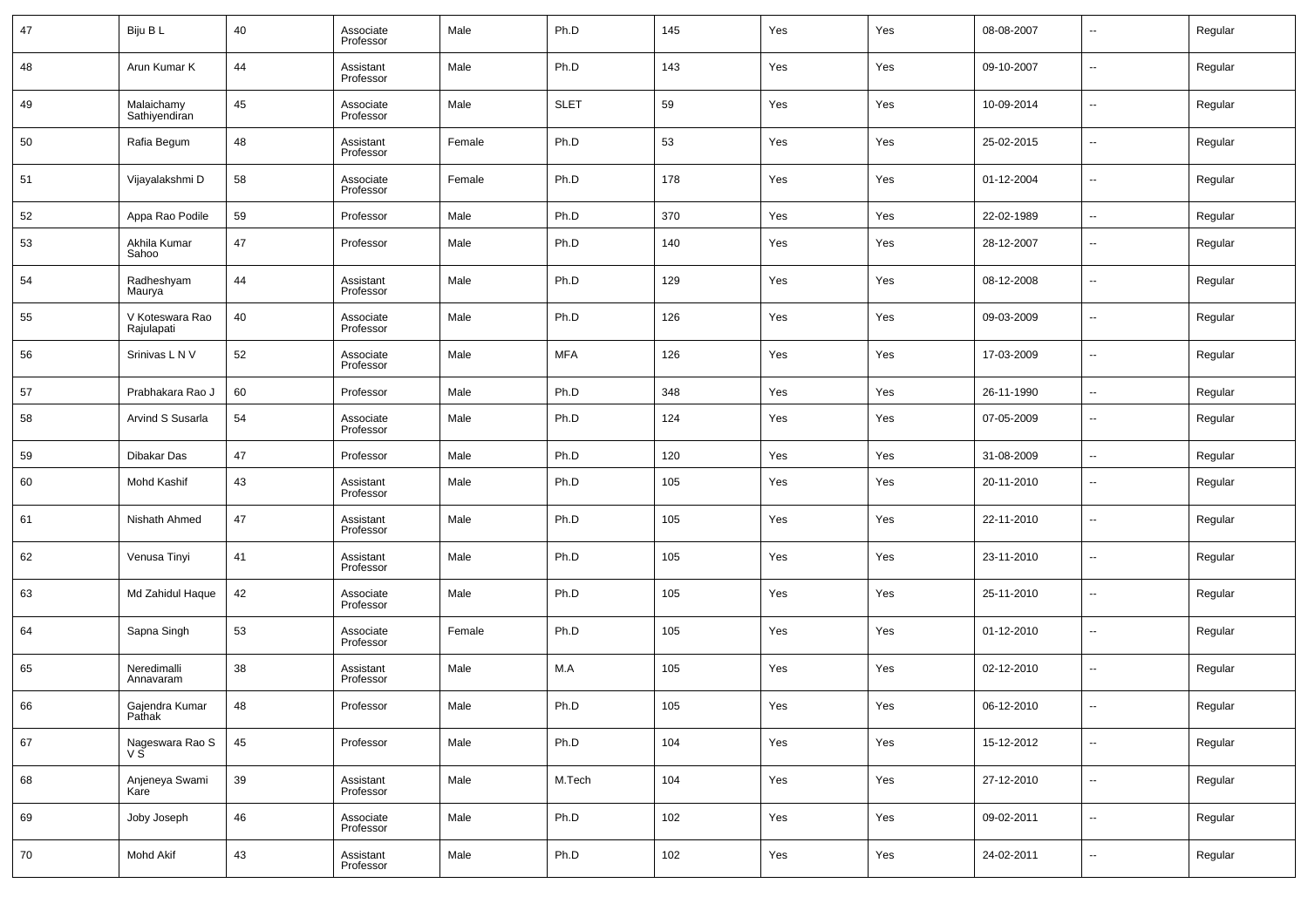| 47 | Biju B L                      | 40     | Associate<br>Professor | Male   | Ph.D        | 145 | Yes | Yes | 08-08-2007 | $\overline{\phantom{a}}$ | Regular |
|----|-------------------------------|--------|------------------------|--------|-------------|-----|-----|-----|------------|--------------------------|---------|
| 48 | Arun Kumar K                  | 44     | Assistant<br>Professor | Male   | Ph.D        | 143 | Yes | Yes | 09-10-2007 | $\overline{\phantom{a}}$ | Regular |
| 49 | Malaichamy<br>Sathiyendiran   | 45     | Associate<br>Professor | Male   | <b>SLET</b> | 59  | Yes | Yes | 10-09-2014 | $\overline{\phantom{a}}$ | Regular |
| 50 | Rafia Begum                   | 48     | Assistant<br>Professor | Female | Ph.D        | 53  | Yes | Yes | 25-02-2015 | $\overline{\phantom{a}}$ | Regular |
| 51 | Vijayalakshmi D               | 58     | Associate<br>Professor | Female | Ph.D        | 178 | Yes | Yes | 01-12-2004 | $\overline{\phantom{a}}$ | Regular |
| 52 | Appa Rao Podile               | 59     | Professor              | Male   | Ph.D        | 370 | Yes | Yes | 22-02-1989 | $\overline{\phantom{a}}$ | Regular |
| 53 | Akhila Kumar<br>Sahoo         | 47     | Professor              | Male   | Ph.D        | 140 | Yes | Yes | 28-12-2007 | $\overline{\phantom{a}}$ | Regular |
| 54 | Radheshyam<br>Maurya          | 44     | Assistant<br>Professor | Male   | Ph.D        | 129 | Yes | Yes | 08-12-2008 | $\overline{\phantom{a}}$ | Regular |
| 55 | V Koteswara Rao<br>Rajulapati | 40     | Associate<br>Professor | Male   | Ph.D        | 126 | Yes | Yes | 09-03-2009 | $\overline{\phantom{a}}$ | Regular |
| 56 | Srinivas L N V                | 52     | Associate<br>Professor | Male   | <b>MFA</b>  | 126 | Yes | Yes | 17-03-2009 | $\overline{\phantom{a}}$ | Regular |
| 57 | Prabhakara Rao J              | 60     | Professor              | Male   | Ph.D        | 348 | Yes | Yes | 26-11-1990 | $\overline{\phantom{a}}$ | Regular |
| 58 | Arvind S Susarla              | 54     | Associate<br>Professor | Male   | Ph.D        | 124 | Yes | Yes | 07-05-2009 | $\overline{\phantom{a}}$ | Regular |
| 59 | Dibakar Das                   | 47     | Professor              | Male   | Ph.D        | 120 | Yes | Yes | 31-08-2009 | $\overline{\phantom{a}}$ | Regular |
| 60 | Mohd Kashif                   | 43     | Assistant<br>Professor | Male   | Ph.D        | 105 | Yes | Yes | 20-11-2010 | $\overline{\phantom{a}}$ | Regular |
| 61 | Nishath Ahmed                 | 47     | Assistant<br>Professor | Male   | Ph.D        | 105 | Yes | Yes | 22-11-2010 | $\overline{\phantom{a}}$ | Regular |
| 62 | Venusa Tinyi                  | 41     | Assistant<br>Professor | Male   | Ph.D        | 105 | Yes | Yes | 23-11-2010 | $\overline{\phantom{a}}$ | Regular |
| 63 | Md Zahidul Haque              | 42     | Associate<br>Professor | Male   | Ph.D        | 105 | Yes | Yes | 25-11-2010 | $\overline{\phantom{a}}$ | Regular |
| 64 | Sapna Singh                   | 53     | Associate<br>Professor | Female | Ph.D        | 105 | Yes | Yes | 01-12-2010 | $\overline{\phantom{a}}$ | Regular |
| 65 | Neredimalli<br>Annavaram      | 38     | Assistant<br>Professor | Male   | M.A         | 105 | Yes | Yes | 02-12-2010 | $\overline{\phantom{a}}$ | Regular |
| 66 | Gajendra Kumar<br>Pathak      | 48     | Professor              | Male   | Ph.D        | 105 | Yes | Yes | 06-12-2010 | $\overline{\phantom{a}}$ | Regular |
| 67 | Nageswara Rao S<br>V S        | 45     | Professor              | Male   | Ph.D        | 104 | Yes | Yes | 15-12-2012 | $\overline{\phantom{a}}$ | Regular |
| 68 | Anjeneya Swami<br>Kare        | $39\,$ | Assistant<br>Professor | Male   | M.Tech      | 104 | Yes | Yes | 27-12-2010 | $\overline{\phantom{a}}$ | Regular |
| 69 | Joby Joseph                   | 46     | Associate<br>Professor | Male   | Ph.D        | 102 | Yes | Yes | 09-02-2011 | $\overline{\phantom{a}}$ | Regular |
| 70 | Mohd Akif                     | 43     | Assistant<br>Professor | Male   | Ph.D        | 102 | Yes | Yes | 24-02-2011 | $\overline{\phantom{a}}$ | Regular |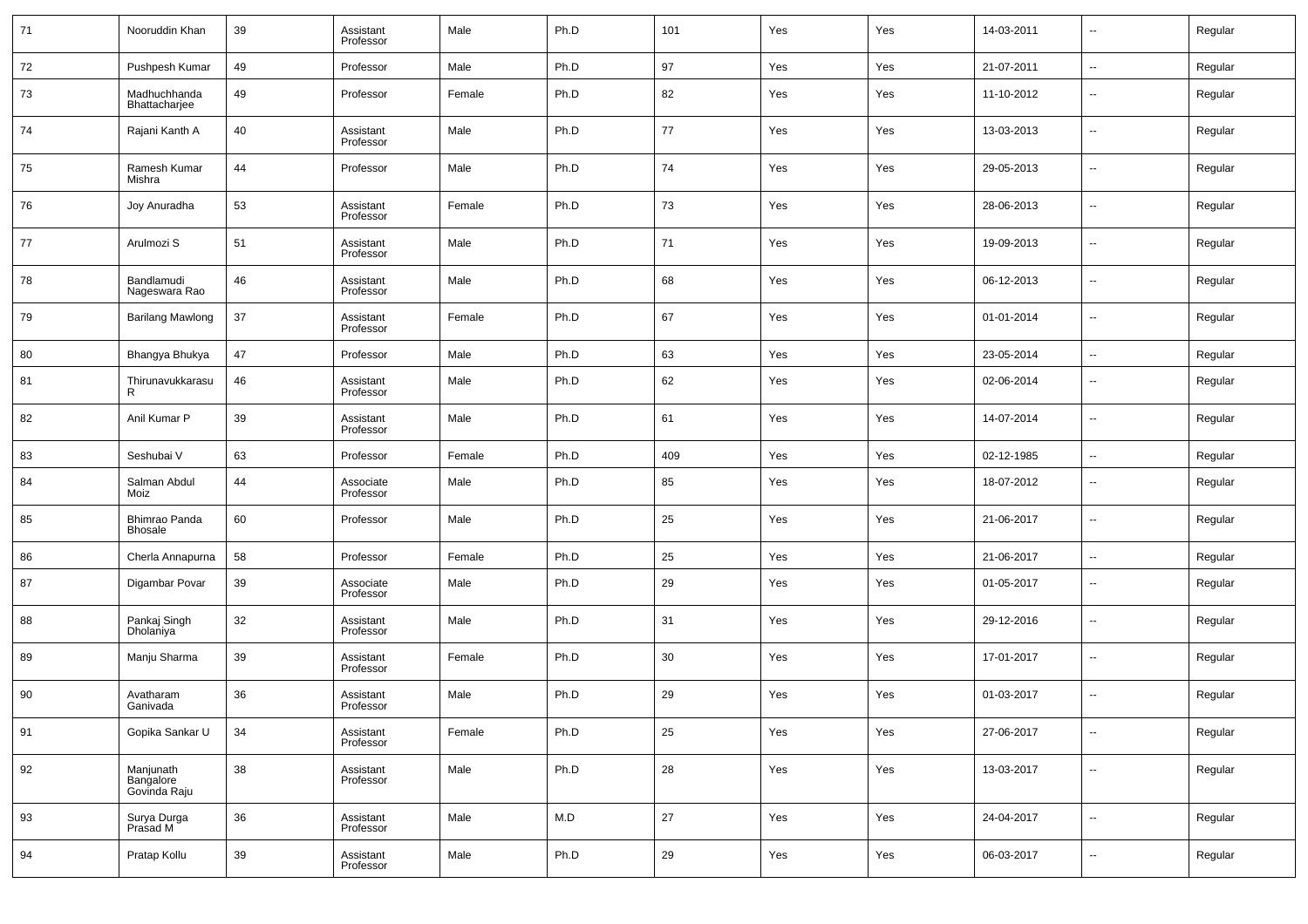| 71 | Nooruddin Khan                         | 39 | Assistant<br>Professor | Male   | Ph.D | 101    | Yes | Yes | 14-03-2011 | $\overline{\phantom{a}}$ | Regular |
|----|----------------------------------------|----|------------------------|--------|------|--------|-----|-----|------------|--------------------------|---------|
| 72 | Pushpesh Kumar                         | 49 | Professor              | Male   | Ph.D | 97     | Yes | Yes | 21-07-2011 | $\sim$                   | Regular |
| 73 | Madhuchhanda<br>Bhattacharjee          | 49 | Professor              | Female | Ph.D | 82     | Yes | Yes | 11-10-2012 | $\overline{\phantom{a}}$ | Regular |
| 74 | Rajani Kanth A                         | 40 | Assistant<br>Professor | Male   | Ph.D | 77     | Yes | Yes | 13-03-2013 | $\overline{\phantom{a}}$ | Regular |
| 75 | Ramesh Kumar<br>Mishra                 | 44 | Professor              | Male   | Ph.D | 74     | Yes | Yes | 29-05-2013 | $\sim$                   | Regular |
| 76 | Joy Anuradha                           | 53 | Assistant<br>Professor | Female | Ph.D | 73     | Yes | Yes | 28-06-2013 | $\overline{\phantom{a}}$ | Regular |
| 77 | Arulmozi S                             | 51 | Assistant<br>Professor | Male   | Ph.D | 71     | Yes | Yes | 19-09-2013 | $\overline{\phantom{a}}$ | Regular |
| 78 | Bandlamudi<br>Nageswara Rao            | 46 | Assistant<br>Professor | Male   | Ph.D | 68     | Yes | Yes | 06-12-2013 | $\overline{\phantom{a}}$ | Regular |
| 79 | <b>Barilang Mawlong</b>                | 37 | Assistant<br>Professor | Female | Ph.D | 67     | Yes | Yes | 01-01-2014 | $\overline{\phantom{a}}$ | Regular |
| 80 | Bhangya Bhukya                         | 47 | Professor              | Male   | Ph.D | 63     | Yes | Yes | 23-05-2014 | $\overline{\phantom{a}}$ | Regular |
| 81 | Thirunavukkarasu<br>R                  | 46 | Assistant<br>Professor | Male   | Ph.D | 62     | Yes | Yes | 02-06-2014 | $\overline{\phantom{a}}$ | Regular |
| 82 | Anil Kumar P                           | 39 | Assistant<br>Professor | Male   | Ph.D | 61     | Yes | Yes | 14-07-2014 | $\overline{\phantom{a}}$ | Regular |
| 83 | Seshubai V                             | 63 | Professor              | Female | Ph.D | 409    | Yes | Yes | 02-12-1985 | $\overline{\phantom{a}}$ | Regular |
| 84 | Salman Abdul<br>Moiz                   | 44 | Associate<br>Professor | Male   | Ph.D | 85     | Yes | Yes | 18-07-2012 | $\overline{\phantom{a}}$ | Regular |
| 85 | Bhimrao Panda<br><b>Bhosale</b>        | 60 | Professor              | Male   | Ph.D | 25     | Yes | Yes | 21-06-2017 | $\overline{\phantom{a}}$ | Regular |
| 86 | Cherla Annapurna                       | 58 | Professor              | Female | Ph.D | 25     | Yes | Yes | 21-06-2017 | $\overline{\phantom{a}}$ | Regular |
| 87 | Digambar Povar                         | 39 | Associate<br>Professor | Male   | Ph.D | 29     | Yes | Yes | 01-05-2017 | $\overline{\phantom{a}}$ | Regular |
| 88 | Pankaj Singh<br>Dholaniya              | 32 | Assistant<br>Professor | Male   | Ph.D | 31     | Yes | Yes | 29-12-2016 | $\overline{\phantom{a}}$ | Regular |
| 89 | Manju Sharma                           | 39 | Assistant<br>Professor | Female | Ph.D | 30     | Yes | Yes | 17-01-2017 | $\overline{\phantom{a}}$ | Regular |
| 90 | Avatharam<br>Ganivada                  | 36 | Assistant<br>Professor | Male   | Ph.D | 29     | Yes | Yes | 01-03-2017 | $\overline{\phantom{a}}$ | Regular |
| 91 | Gopika Sankar U                        | 34 | Assistant<br>Professor | Female | Ph.D | 25     | Yes | Yes | 27-06-2017 | $\sim$                   | Regular |
| 92 | Manjunath<br>Bangalore<br>Govinda Raju | 38 | Assistant<br>Professor | Male   | Ph.D | 28     | Yes | Yes | 13-03-2017 | $\overline{\phantom{a}}$ | Regular |
| 93 | Surya Durga<br>Prasad M                | 36 | Assistant<br>Professor | Male   | M.D  | $27\,$ | Yes | Yes | 24-04-2017 | $\sim$                   | Regular |
| 94 | Pratap Kollu                           | 39 | Assistant<br>Professor | Male   | Ph.D | 29     | Yes | Yes | 06-03-2017 | $\overline{\phantom{a}}$ | Regular |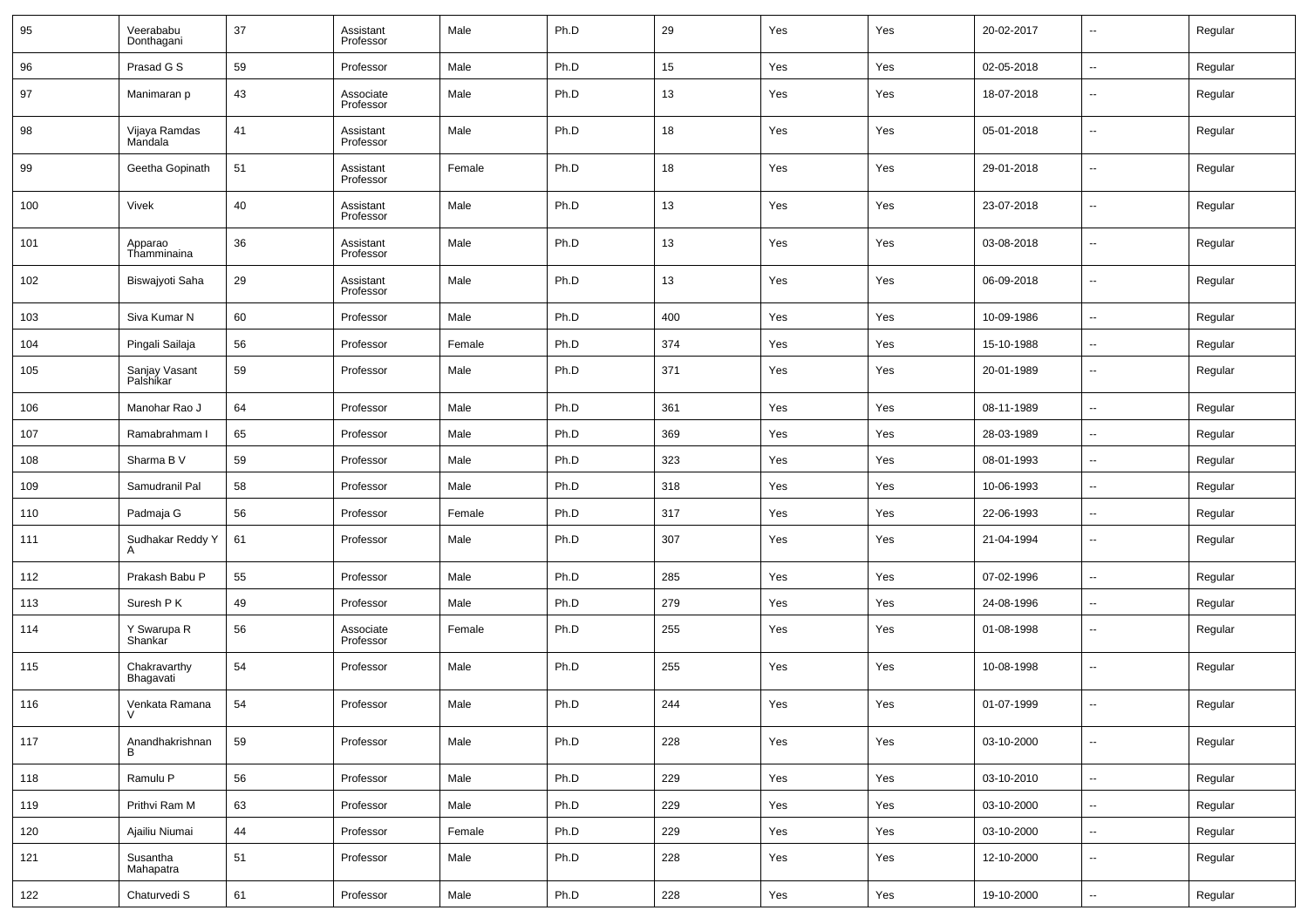| 95  | Veerababu<br>Donthagani             | 37 | Assistant<br>Professor | Male   | Ph.D | 29  | Yes | Yes | 20-02-2017 | $\overline{\phantom{a}}$ | Regular |
|-----|-------------------------------------|----|------------------------|--------|------|-----|-----|-----|------------|--------------------------|---------|
| 96  | Prasad G S                          | 59 | Professor              | Male   | Ph.D | 15  | Yes | Yes | 02-05-2018 | $\overline{\phantom{a}}$ | Regular |
| 97  | Manimaran p                         | 43 | Associate<br>Professor | Male   | Ph.D | 13  | Yes | Yes | 18-07-2018 | --                       | Regular |
| 98  | Vijaya Ramdas<br>Mandala            | 41 | Assistant<br>Professor | Male   | Ph.D | 18  | Yes | Yes | 05-01-2018 | $\overline{\phantom{a}}$ | Regular |
| 99  | Geetha Gopinath                     | 51 | Assistant<br>Professor | Female | Ph.D | 18  | Yes | Yes | 29-01-2018 | --                       | Regular |
| 100 | Vivek                               | 40 | Assistant<br>Professor | Male   | Ph.D | 13  | Yes | Yes | 23-07-2018 | $\overline{\phantom{a}}$ | Regular |
| 101 | Apparao<br>Thamminaina              | 36 | Assistant<br>Professor | Male   | Ph.D | 13  | Yes | Yes | 03-08-2018 | --                       | Regular |
| 102 | Biswajyoti Saha                     | 29 | Assistant<br>Professor | Male   | Ph.D | 13  | Yes | Yes | 06-09-2018 | --                       | Regular |
| 103 | Siva Kumar N                        | 60 | Professor              | Male   | Ph.D | 400 | Yes | Yes | 10-09-1986 | $\overline{\phantom{a}}$ | Regular |
| 104 | Pingali Sailaja                     | 56 | Professor              | Female | Ph.D | 374 | Yes | Yes | 15-10-1988 | $\overline{\phantom{a}}$ | Regular |
| 105 | Sanjay Vasant<br>Palshikar          | 59 | Professor              | Male   | Ph.D | 371 | Yes | Yes | 20-01-1989 | $\overline{\phantom{a}}$ | Regular |
| 106 | Manohar Rao J                       | 64 | Professor              | Male   | Ph.D | 361 | Yes | Yes | 08-11-1989 | $\mathbf{u}$             | Regular |
| 107 | Ramabrahmam I                       | 65 | Professor              | Male   | Ph.D | 369 | Yes | Yes | 28-03-1989 | $\overline{\phantom{a}}$ | Regular |
| 108 | Sharma B V                          | 59 | Professor              | Male   | Ph.D | 323 | Yes | Yes | 08-01-1993 | $\overline{\phantom{a}}$ | Regular |
| 109 | Samudranil Pal                      | 58 | Professor              | Male   | Ph.D | 318 | Yes | Yes | 10-06-1993 | $\sim$                   | Regular |
| 110 | Padmaja G                           | 56 | Professor              | Female | Ph.D | 317 | Yes | Yes | 22-06-1993 | $\overline{\phantom{a}}$ | Regular |
| 111 | Sudhakar Reddy Y<br>А               | 61 | Professor              | Male   | Ph.D | 307 | Yes | Yes | 21-04-1994 | $\overline{\phantom{a}}$ | Regular |
| 112 | Prakash Babu P                      | 55 | Professor              | Male   | Ph.D | 285 | Yes | Yes | 07-02-1996 | $\overline{\phantom{a}}$ | Regular |
| 113 | Suresh P K                          | 49 | Professor              | Male   | Ph.D | 279 | Yes | Yes | 24-08-1996 | $\ddotsc$                | Regular |
| 114 | Y Swarupa R<br>Shankar <sup>1</sup> | 56 | Associate<br>Professor | Female | Ph.D | 255 | Yes | Yes | 01-08-1998 | --                       | Regular |
| 115 | Chakravarthy<br>Bhagavati           | 54 | Professor              | Male   | Ph.D | 255 | Yes | Yes | 10-08-1998 | --                       | Regular |
| 116 | Venkata Ramana<br>V                 | 54 | Professor              | Male   | Ph.D | 244 | Yes | Yes | 01-07-1999 | $\overline{\phantom{a}}$ | Regular |
| 117 | Anandhakrishnan<br>B                | 59 | Professor              | Male   | Ph.D | 228 | Yes | Yes | 03-10-2000 | $\sim$                   | Regular |
| 118 | Ramulu P                            | 56 | Professor              | Male   | Ph.D | 229 | Yes | Yes | 03-10-2010 | $\sim$                   | Regular |
| 119 | Prithvi Ram M                       | 63 | Professor              | Male   | Ph.D | 229 | Yes | Yes | 03-10-2000 | ۰.                       | Regular |
| 120 | Ajailiu Niumai                      | 44 | Professor              | Female | Ph.D | 229 | Yes | Yes | 03-10-2000 | $\sim$                   | Regular |
| 121 | Susantha<br>Mahapatra               | 51 | Professor              | Male   | Ph.D | 228 | Yes | Yes | 12-10-2000 | $\overline{\phantom{a}}$ | Regular |
| 122 | Chaturvedi S                        | 61 | Professor              | Male   | Ph.D | 228 | Yes | Yes | 19-10-2000 | $\overline{\phantom{a}}$ | Regular |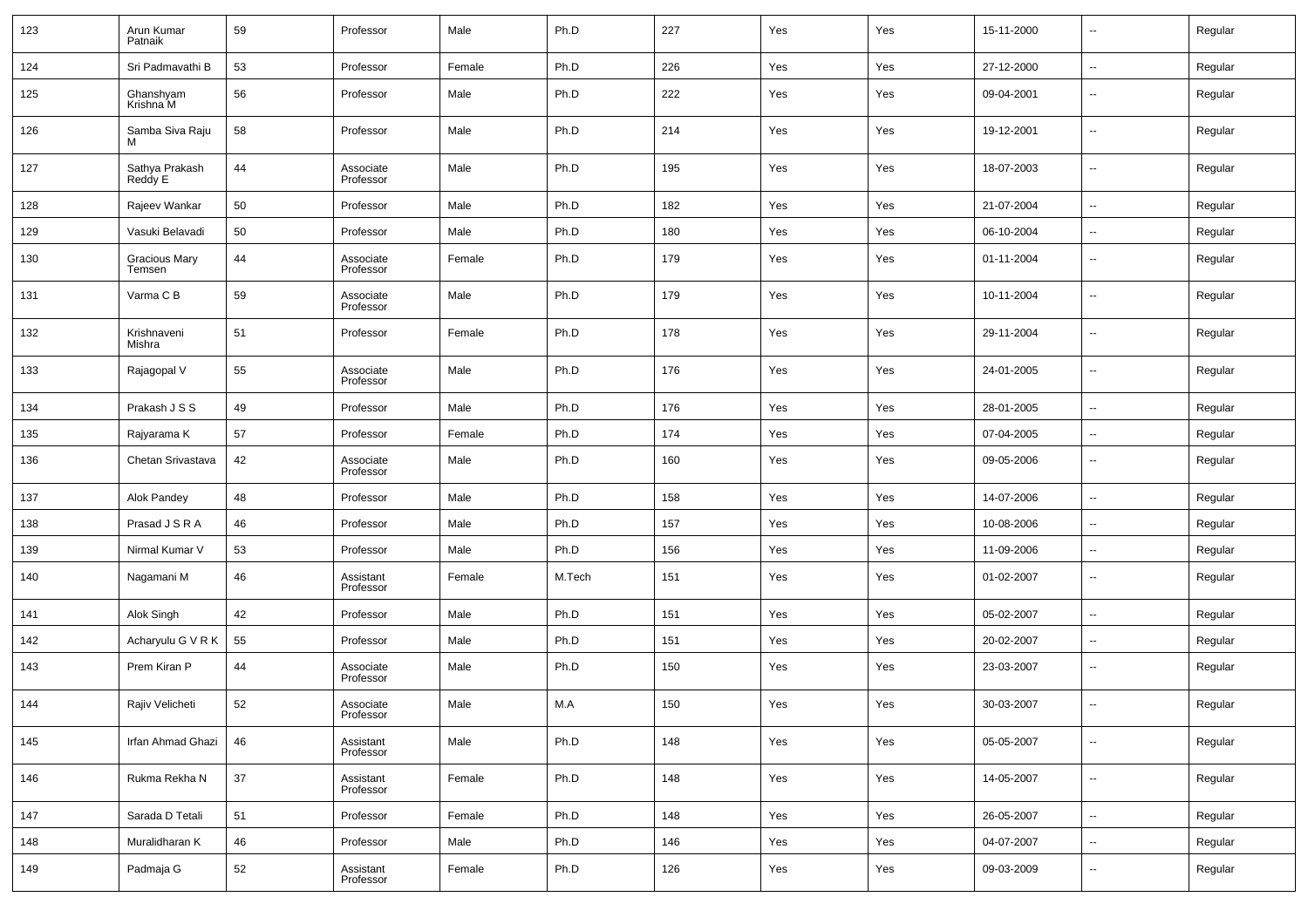| 123 | Arun Kumar<br>Patnaik          | 59 | Professor              | Male   | Ph.D   | 227 | Yes | Yes | 15-11-2000 | $\overline{\phantom{a}}$ | Regular |
|-----|--------------------------------|----|------------------------|--------|--------|-----|-----|-----|------------|--------------------------|---------|
| 124 | Sri Padmavathi B               | 53 | Professor              | Female | Ph.D   | 226 | Yes | Yes | 27-12-2000 | $\overline{\phantom{a}}$ | Regular |
| 125 | Ghanshyam<br>Krishna M         | 56 | Professor              | Male   | Ph.D   | 222 | Yes | Yes | 09-04-2001 | $\sim$                   | Regular |
| 126 | Samba Siva Raju<br>м           | 58 | Professor              | Male   | Ph.D   | 214 | Yes | Yes | 19-12-2001 | ш.                       | Regular |
| 127 | Sathya Prakash<br>Reddy E      | 44 | Associate<br>Professor | Male   | Ph.D   | 195 | Yes | Yes | 18-07-2003 | $\overline{\phantom{a}}$ | Regular |
| 128 | Rajeev Wankar                  | 50 | Professor              | Male   | Ph.D   | 182 | Yes | Yes | 21-07-2004 | $\overline{\phantom{a}}$ | Regular |
| 129 | Vasuki Belavadi                | 50 | Professor              | Male   | Ph.D   | 180 | Yes | Yes | 06-10-2004 | $\sim$                   | Regular |
| 130 | <b>Gracious Mary</b><br>Temsen | 44 | Associate<br>Professor | Female | Ph.D   | 179 | Yes | Yes | 01-11-2004 | $\sim$                   | Regular |
| 131 | Varma C B                      | 59 | Associate<br>Professor | Male   | Ph.D   | 179 | Yes | Yes | 10-11-2004 | --                       | Regular |
| 132 | Krishnaveni<br>Mishra          | 51 | Professor              | Female | Ph.D   | 178 | Yes | Yes | 29-11-2004 | $\sim$                   | Regular |
| 133 | Rajagopal V                    | 55 | Associate<br>Professor | Male   | Ph.D   | 176 | Yes | Yes | 24-01-2005 | --                       | Regular |
| 134 | Prakash J S S                  | 49 | Professor              | Male   | Ph.D   | 176 | Yes | Yes | 28-01-2005 | ш.                       | Regular |
| 135 | Rajyarama K                    | 57 | Professor              | Female | Ph.D   | 174 | Yes | Yes | 07-04-2005 | --                       | Regular |
| 136 | Chetan Srivastava              | 42 | Associate<br>Professor | Male   | Ph.D   | 160 | Yes | Yes | 09-05-2006 | --                       | Regular |
| 137 | Alok Pandey                    | 48 | Professor              | Male   | Ph.D   | 158 | Yes | Yes | 14-07-2006 | --                       | Regular |
| 138 | Prasad J S R A                 | 46 | Professor              | Male   | Ph.D   | 157 | Yes | Yes | 10-08-2006 | $\overline{\phantom{a}}$ | Regular |
| 139 | Nirmal Kumar V                 | 53 | Professor              | Male   | Ph.D   | 156 | Yes | Yes | 11-09-2006 | $\overline{\phantom{a}}$ | Regular |
| 140 | Nagamani M                     | 46 | Assistant<br>Professor | Female | M.Tech | 151 | Yes | Yes | 01-02-2007 | --                       | Regular |
| 141 | Alok Singh                     | 42 | Professor              | Male   | Ph.D   | 151 | Yes | Yes | 05-02-2007 | --                       | Regular |
| 142 | Acharyulu G V R K              | 55 | Professor              | Male   | Ph.D   | 151 | Yes | Yes | 20-02-2007 | $\overline{\phantom{a}}$ | Regular |
| 143 | Prem Kiran P                   | 44 | Associate<br>Professor | Male   | Ph.D   | 150 | Yes | Yes | 23-03-2007 | $\overline{\phantom{a}}$ | Regular |
| 144 | Rajiv Velicheti                | 52 | Associate<br>Professor | Male   | M.A    | 150 | Yes | Yes | 30-03-2007 | --                       | Regular |
| 145 | Irfan Ahmad Ghazi              | 46 | Assistant<br>Professor | Male   | Ph.D   | 148 | Yes | Yes | 05-05-2007 | $\overline{\phantom{a}}$ | Regular |
| 146 | Rukma Rekha N                  | 37 | Assistant<br>Professor | Female | Ph.D   | 148 | Yes | Yes | 14-05-2007 | $\sim$                   | Regular |
| 147 | Sarada D Tetali                | 51 | Professor              | Female | Ph.D   | 148 | Yes | Yes | 26-05-2007 | $\overline{\phantom{a}}$ | Regular |
| 148 | Muralidharan K                 | 46 | Professor              | Male   | Ph.D   | 146 | Yes | Yes | 04-07-2007 | $\sim$                   | Regular |
| 149 | Padmaja G                      | 52 | Assistant<br>Professor | Female | Ph.D   | 126 | Yes | Yes | 09-03-2009 | $\overline{\phantom{a}}$ | Regular |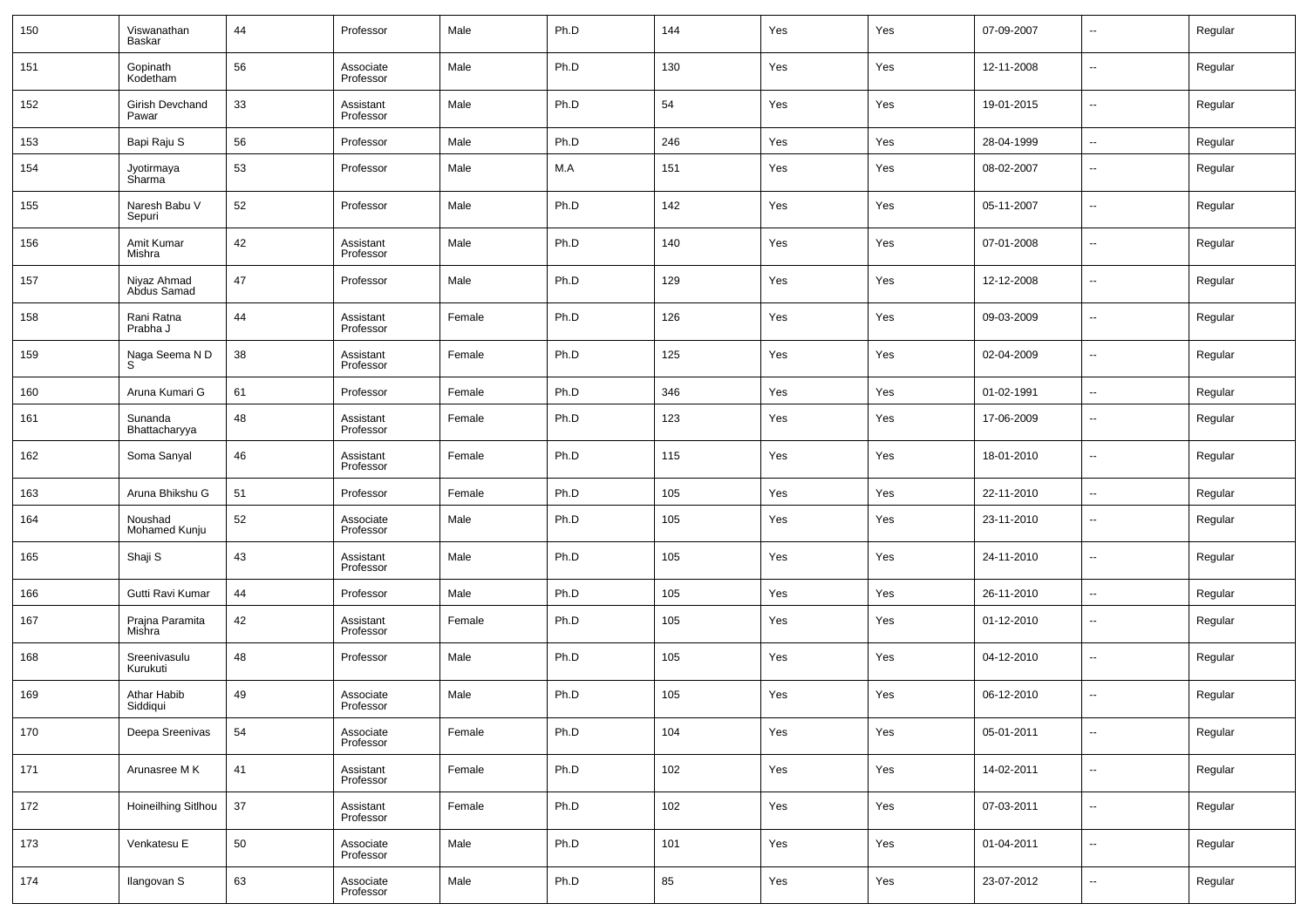| 150 | Viswanathan<br>Baskar      | 44 | Professor              | Male   | Ph.D | 144 | Yes | Yes | 07-09-2007 | $\overline{\phantom{a}}$ | Regular |
|-----|----------------------------|----|------------------------|--------|------|-----|-----|-----|------------|--------------------------|---------|
| 151 | Gopinath<br>Kodetham       | 56 | Associate<br>Professor | Male   | Ph.D | 130 | Yes | Yes | 12-11-2008 | $\overline{\phantom{a}}$ | Regular |
| 152 | Girish Devchand<br>Pawar   | 33 | Assistant<br>Professor | Male   | Ph.D | 54  | Yes | Yes | 19-01-2015 | $\overline{\phantom{a}}$ | Regular |
| 153 | Bapi Raju S                | 56 | Professor              | Male   | Ph.D | 246 | Yes | Yes | 28-04-1999 | $\overline{\phantom{a}}$ | Regular |
| 154 | Jyotirmaya<br>Sharma       | 53 | Professor              | Male   | M.A  | 151 | Yes | Yes | 08-02-2007 | --                       | Regular |
| 155 | Naresh Babu V<br>Sepuri    | 52 | Professor              | Male   | Ph.D | 142 | Yes | Yes | 05-11-2007 | ш,                       | Regular |
| 156 | Amit Kumar<br>Mishra       | 42 | Assistant<br>Professor | Male   | Ph.D | 140 | Yes | Yes | 07-01-2008 | ш,                       | Regular |
| 157 | Niyaz Ahmad<br>Abdus Samad | 47 | Professor              | Male   | Ph.D | 129 | Yes | Yes | 12-12-2008 | ш,                       | Regular |
| 158 | Rani Ratna<br>Prabha J     | 44 | Assistant<br>Professor | Female | Ph.D | 126 | Yes | Yes | 09-03-2009 | --                       | Regular |
| 159 | Naga Seema N D<br>S        | 38 | Assistant<br>Professor | Female | Ph.D | 125 | Yes | Yes | 02-04-2009 | ш,                       | Regular |
| 160 | Aruna Kumari G             | 61 | Professor              | Female | Ph.D | 346 | Yes | Yes | 01-02-1991 | $\sim$                   | Regular |
| 161 | Sunanda<br>Bhattacharyya   | 48 | Assistant<br>Professor | Female | Ph.D | 123 | Yes | Yes | 17-06-2009 | $\overline{\phantom{a}}$ | Regular |
| 162 | Soma Sanyal                | 46 | Assistant<br>Professor | Female | Ph.D | 115 | Yes | Yes | 18-01-2010 | $\overline{\phantom{a}}$ | Regular |
| 163 | Aruna Bhikshu G            | 51 | Professor              | Female | Ph.D | 105 | Yes | Yes | 22-11-2010 | $\sim$                   | Regular |
| 164 | Noushad<br>Mohamed Kunju   | 52 | Associate<br>Professor | Male   | Ph.D | 105 | Yes | Yes | 23-11-2010 | --                       | Regular |
| 165 | Shaji S                    | 43 | Assistant<br>Professor | Male   | Ph.D | 105 | Yes | Yes | 24-11-2010 | --                       | Regular |
| 166 | Gutti Ravi Kumar           | 44 | Professor              | Male   | Ph.D | 105 | Yes | Yes | 26-11-2010 | $\sim$                   | Regular |
| 167 | Prajna Paramita<br>Mishra  | 42 | Assistant<br>Professor | Female | Ph.D | 105 | Yes | Yes | 01-12-2010 | --                       | Regular |
| 168 | Sreenivasulu<br>Kurukuti   | 48 | Professor              | Male   | Ph.D | 105 | Yes | Yes | 04-12-2010 | --                       | Regular |
| 169 | Athar Habib<br>Siddiqui    | 49 | Associate<br>Professor | Male   | Ph.D | 105 | Yes | Yes | 06-12-2010 | --                       | Regular |
| 170 | Deepa Sreenivas            | 54 | Associate<br>Professor | Female | Ph.D | 104 | Yes | Yes | 05-01-2011 | ш.                       | Regular |
| 171 | Arunasree M K              | 41 | Assistant<br>Professor | Female | Ph.D | 102 | Yes | Yes | 14-02-2011 | $\sim$                   | Regular |
| 172 | Hoineilhing Sitlhou        | 37 | Assistant<br>Professor | Female | Ph.D | 102 | Yes | Yes | 07-03-2011 | $\overline{\phantom{a}}$ | Regular |
| 173 | Venkatesu E                | 50 | Associate<br>Professor | Male   | Ph.D | 101 | Yes | Yes | 01-04-2011 | $\overline{\phantom{a}}$ | Regular |
| 174 | Ilangovan S                | 63 | Associate<br>Professor | Male   | Ph.D | 85  | Yes | Yes | 23-07-2012 | $\overline{\phantom{a}}$ | Regular |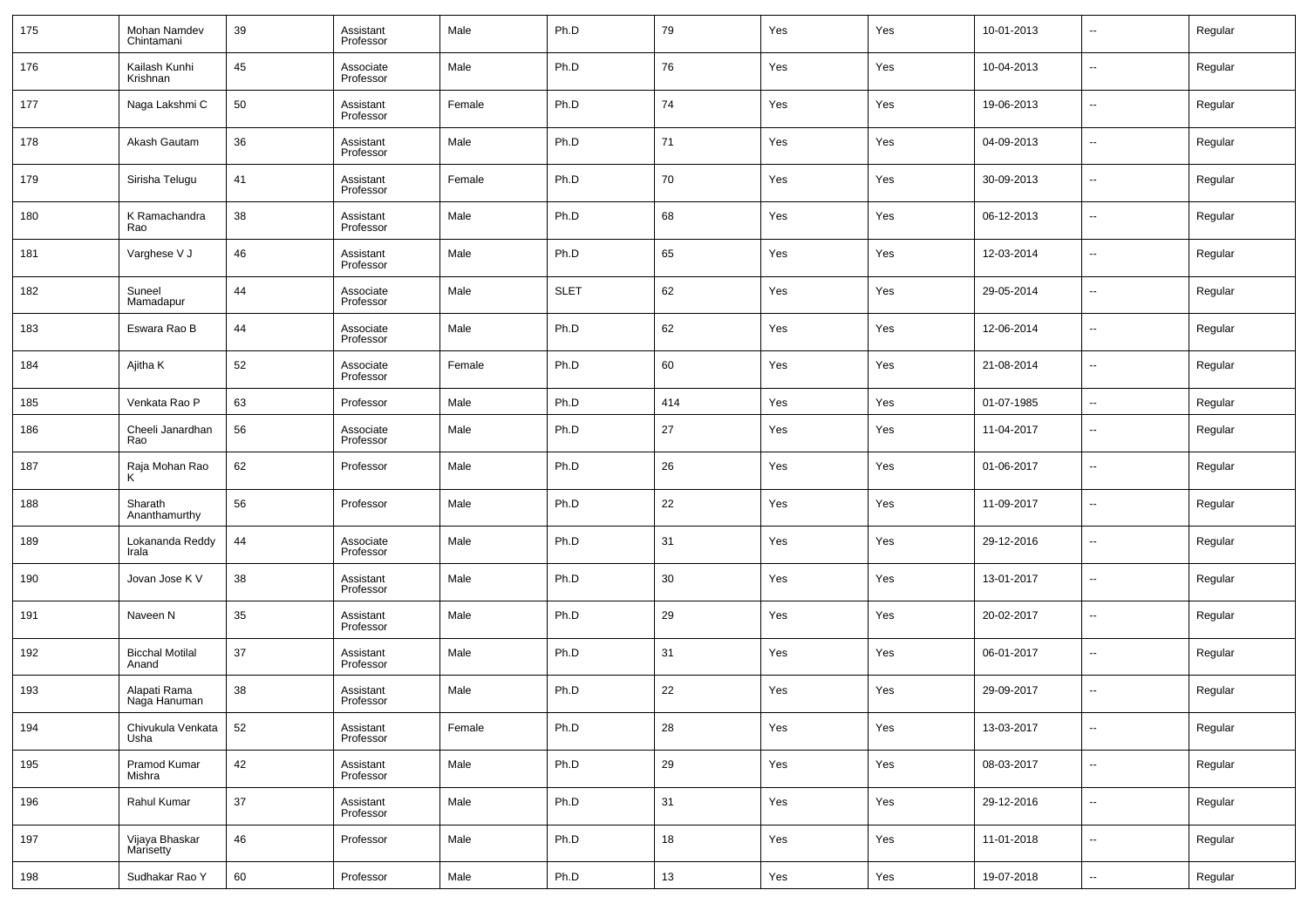| 175 | Mohan Namdev<br>Chintamani      | 39 | Assistant<br>Professor | Male   | Ph.D        | 79  | Yes | Yes | 10-01-2013 | $\overline{\phantom{a}}$ | Regular |
|-----|---------------------------------|----|------------------------|--------|-------------|-----|-----|-----|------------|--------------------------|---------|
| 176 | Kailash Kunhi<br>Krishnan       | 45 | Associate<br>Professor | Male   | Ph.D        | 76  | Yes | Yes | 10-04-2013 | $\overline{\phantom{a}}$ | Regular |
| 177 | Naga Lakshmi C                  | 50 | Assistant<br>Professor | Female | Ph.D        | 74  | Yes | Yes | 19-06-2013 | $\overline{\phantom{a}}$ | Regular |
| 178 | Akash Gautam                    | 36 | Assistant<br>Professor | Male   | Ph.D        | 71  | Yes | Yes | 04-09-2013 | $\overline{\phantom{a}}$ | Regular |
| 179 | Sirisha Telugu                  | 41 | Assistant<br>Professor | Female | Ph.D        | 70  | Yes | Yes | 30-09-2013 | $\sim$                   | Regular |
| 180 | K Ramachandra<br>Rao            | 38 | Assistant<br>Professor | Male   | Ph.D        | 68  | Yes | Yes | 06-12-2013 | $\overline{\phantom{a}}$ | Regular |
| 181 | Varghese V J                    | 46 | Assistant<br>Professor | Male   | Ph.D        | 65  | Yes | Yes | 12-03-2014 | $\sim$                   | Regular |
| 182 | Suneel<br>Mamadapur             | 44 | Associate<br>Professor | Male   | <b>SLET</b> | 62  | Yes | Yes | 29-05-2014 | $\overline{\phantom{a}}$ | Regular |
| 183 | Eswara Rao B                    | 44 | Associate<br>Professor | Male   | Ph.D        | 62  | Yes | Yes | 12-06-2014 | $\overline{\phantom{a}}$ | Regular |
| 184 | Ajitha K                        | 52 | Associate<br>Professor | Female | Ph.D        | 60  | Yes | Yes | 21-08-2014 | $\overline{\phantom{a}}$ | Regular |
| 185 | Venkata Rao P                   | 63 | Professor              | Male   | Ph.D        | 414 | Yes | Yes | 01-07-1985 | $\sim$                   | Regular |
| 186 | Cheeli Janardhan<br>Rao         | 56 | Associate<br>Professor | Male   | Ph.D        | 27  | Yes | Yes | 11-04-2017 | --                       | Regular |
| 187 | Raja Mohan Rao<br>ĸ             | 62 | Professor              | Male   | Ph.D        | 26  | Yes | Yes | 01-06-2017 | --                       | Regular |
| 188 | Sharath<br>Ananthamurthy        | 56 | Professor              | Male   | Ph.D        | 22  | Yes | Yes | 11-09-2017 | --                       | Regular |
| 189 | Lokananda Reddy<br>Irala        | 44 | Associate<br>Professor | Male   | Ph.D        | 31  | Yes | Yes | 29-12-2016 | ш.                       | Regular |
| 190 | Jovan Jose K V                  | 38 | Assistant<br>Professor | Male   | Ph.D        | 30  | Yes | Yes | 13-01-2017 | --                       | Regular |
| 191 | Naveen N                        | 35 | Assistant<br>Professor | Male   | Ph.D        | 29  | Yes | Yes | 20-02-2017 | --                       | Regular |
| 192 | <b>Bicchal Motilal</b><br>Anand | 37 | Assistant<br>Professor | Male   | Ph.D        | 31  | Yes | Yes | 06-01-2017 | --                       | Regular |
| 193 | Alapati Rama<br>Naga Hanuman    | 38 | Assistant<br>Professor | Male   | Ph.D        | 22  | Yes | Yes | 29-09-2017 | --                       | Regular |
| 194 | Chivukula Venkata<br>Usha       | 52 | Assistant<br>Professor | Female | Ph.D        | 28  | Yes | Yes | 13-03-2017 | $\overline{\phantom{a}}$ | Regular |
| 195 | Pramod Kumar<br>Mishra          | 42 | Assistant<br>Professor | Male   | Ph.D        | 29  | Yes | Yes | 08-03-2017 | $\overline{\phantom{a}}$ | Regular |
| 196 | Rahul Kumar                     | 37 | Assistant<br>Professor | Male   | Ph.D        | 31  | Yes | Yes | 29-12-2016 | $\overline{\phantom{a}}$ | Regular |
| 197 | Vijaya Bhaskar<br>Marisetty     | 46 | Professor              | Male   | Ph.D        | 18  | Yes | Yes | 11-01-2018 | $\sim$                   | Regular |
| 198 | Sudhakar Rao Y                  | 60 | Professor              | Male   | Ph.D        | 13  | Yes | Yes | 19-07-2018 | $\sim$                   | Regular |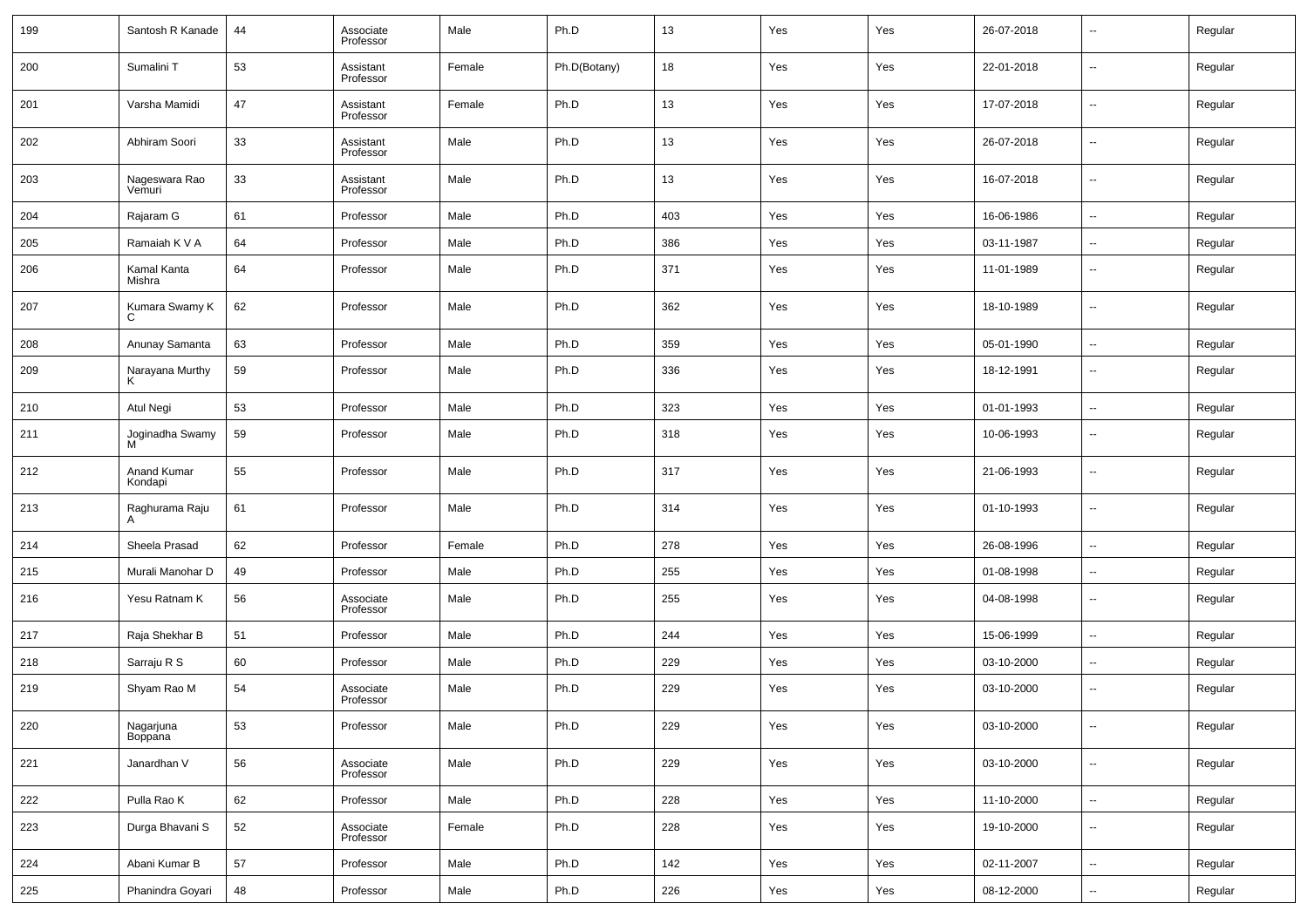| 199 | Santosh R Kanade        | 44 | Associate<br>Professor | Male   | Ph.D         | 13  | Yes | Yes | 26-07-2018 | --                       | Regular |
|-----|-------------------------|----|------------------------|--------|--------------|-----|-----|-----|------------|--------------------------|---------|
| 200 | Sumalini T              | 53 | Assistant<br>Professor | Female | Ph.D(Botany) | 18  | Yes | Yes | 22-01-2018 | $\overline{\phantom{a}}$ | Regular |
| 201 | Varsha Mamidi           | 47 | Assistant<br>Professor | Female | Ph.D         | 13  | Yes | Yes | 17-07-2018 | $\overline{\phantom{a}}$ | Regular |
| 202 | Abhiram Soori           | 33 | Assistant<br>Professor | Male   | Ph.D         | 13  | Yes | Yes | 26-07-2018 | --                       | Regular |
| 203 | Nageswara Rao<br>Vemuri | 33 | Assistant<br>Professor | Male   | Ph.D         | 13  | Yes | Yes | 16-07-2018 | $\overline{\phantom{a}}$ | Regular |
| 204 | Rajaram G               | 61 | Professor              | Male   | Ph.D         | 403 | Yes | Yes | 16-06-1986 | $\overline{\phantom{a}}$ | Regular |
| 205 | Ramaiah K V A           | 64 | Professor              | Male   | Ph.D         | 386 | Yes | Yes | 03-11-1987 | $\overline{\phantom{a}}$ | Regular |
| 206 | Kamal Kanta<br>Mishra   | 64 | Professor              | Male   | Ph.D         | 371 | Yes | Yes | 11-01-1989 | $\overline{\phantom{a}}$ | Regular |
| 207 | Kumara Swamy K<br>C.    | 62 | Professor              | Male   | Ph.D         | 362 | Yes | Yes | 18-10-1989 | $\overline{\phantom{a}}$ | Regular |
| 208 | Anunay Samanta          | 63 | Professor              | Male   | Ph.D         | 359 | Yes | Yes | 05-01-1990 | $\sim$                   | Regular |
| 209 | Narayana Murthy         | 59 | Professor              | Male   | Ph.D         | 336 | Yes | Yes | 18-12-1991 | --                       | Regular |
| 210 | Atul Negi               | 53 | Professor              | Male   | Ph.D         | 323 | Yes | Yes | 01-01-1993 | $\overline{\phantom{a}}$ | Regular |
| 211 | Joginadha Swamy<br>M    | 59 | Professor              | Male   | Ph.D         | 318 | Yes | Yes | 10-06-1993 | $\overline{\phantom{a}}$ | Regular |
| 212 | Anand Kumar<br>Kondapi  | 55 | Professor              | Male   | Ph.D         | 317 | Yes | Yes | 21-06-1993 | $\overline{\phantom{a}}$ | Regular |
| 213 | Raghurama Raju<br>А     | 61 | Professor              | Male   | Ph.D         | 314 | Yes | Yes | 01-10-1993 | $\overline{\phantom{a}}$ | Regular |
| 214 | Sheela Prasad           | 62 | Professor              | Female | Ph.D         | 278 | Yes | Yes | 26-08-1996 | $\overline{\phantom{a}}$ | Regular |
| 215 | Murali Manohar D        | 49 | Professor              | Male   | Ph.D         | 255 | Yes | Yes | 01-08-1998 | $\overline{\phantom{a}}$ | Regular |
| 216 | Yesu Ratnam K           | 56 | Associate<br>Professor | Male   | Ph.D         | 255 | Yes | Yes | 04-08-1998 | --                       | Regular |
| 217 | Raja Shekhar B          | 51 | Professor              | Male   | Ph.D         | 244 | Yes | Yes | 15-06-1999 | $\overline{\phantom{a}}$ | Regular |
| 218 | Sarraju R S             | 60 | Professor              | Male   | Ph.D         | 229 | Yes | Yes | 03-10-2000 | $\overline{\phantom{a}}$ | Regular |
| 219 | Shyam Rao M             | 54 | Associate<br>Professor | Male   | Ph.D         | 229 | Yes | Yes | 03-10-2000 | $\overline{\phantom{a}}$ | Regular |
| 220 | Nagarjuna<br>Boppana    | 53 | Professor              | Male   | Ph.D         | 229 | Yes | Yes | 03-10-2000 | $\overline{\phantom{a}}$ | Regular |
| 221 | Janardhan V             | 56 | Associate<br>Professor | Male   | Ph.D         | 229 | Yes | Yes | 03-10-2000 | $\overline{\phantom{a}}$ | Regular |
| 222 | Pulla Rao K             | 62 | Professor              | Male   | Ph.D         | 228 | Yes | Yes | 11-10-2000 | $\overline{\phantom{a}}$ | Regular |
| 223 | Durga Bhavani S         | 52 | Associate<br>Professor | Female | Ph.D         | 228 | Yes | Yes | 19-10-2000 | $\overline{\phantom{a}}$ | Regular |
| 224 | Abani Kumar B           | 57 | Professor              | Male   | Ph.D         | 142 | Yes | Yes | 02-11-2007 | ۰.                       | Regular |
| 225 | Phanindra Goyari        | 48 | Professor              | Male   | Ph.D         | 226 | Yes | Yes | 08-12-2000 | $\overline{\phantom{a}}$ | Regular |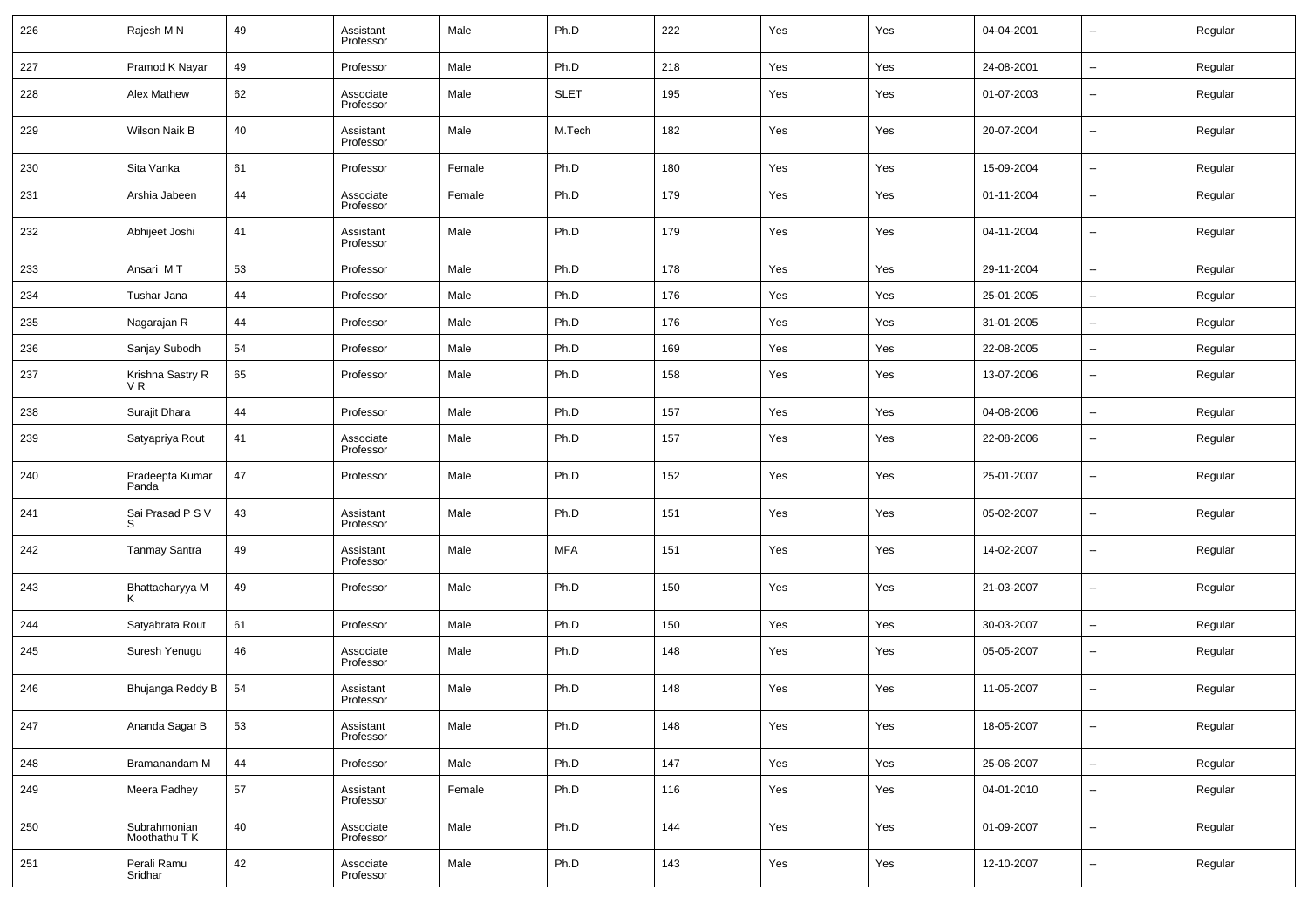| 226 | Rajesh M N                    | 49 | Assistant<br>Professor | Male   | Ph.D        | 222 | Yes | Yes | 04-04-2001 | $\overline{\phantom{a}}$ | Regular |
|-----|-------------------------------|----|------------------------|--------|-------------|-----|-----|-----|------------|--------------------------|---------|
| 227 | Pramod K Nayar                | 49 | Professor              | Male   | Ph.D        | 218 | Yes | Yes | 24-08-2001 | $\overline{\phantom{a}}$ | Regular |
| 228 | Alex Mathew                   | 62 | Associate<br>Professor | Male   | <b>SLET</b> | 195 | Yes | Yes | 01-07-2003 | $\overline{\phantom{a}}$ | Regular |
| 229 | Wilson Naik B                 | 40 | Assistant<br>Professor | Male   | M.Tech      | 182 | Yes | Yes | 20-07-2004 | $\overline{\phantom{a}}$ | Regular |
| 230 | Sita Vanka                    | 61 | Professor              | Female | Ph.D        | 180 | Yes | Yes | 15-09-2004 | $\overline{\phantom{a}}$ | Regular |
| 231 | Arshia Jabeen                 | 44 | Associate<br>Professor | Female | Ph.D        | 179 | Yes | Yes | 01-11-2004 | $\overline{\phantom{a}}$ | Regular |
| 232 | Abhijeet Joshi                | 41 | Assistant<br>Professor | Male   | Ph.D        | 179 | Yes | Yes | 04-11-2004 | $\overline{\phantom{a}}$ | Regular |
| 233 | Ansari MT                     | 53 | Professor              | Male   | Ph.D        | 178 | Yes | Yes | 29-11-2004 | $\overline{\phantom{a}}$ | Regular |
| 234 | Tushar Jana                   | 44 | Professor              | Male   | Ph.D        | 176 | Yes | Yes | 25-01-2005 | $\overline{\phantom{a}}$ | Regular |
| 235 | Nagarajan R                   | 44 | Professor              | Male   | Ph.D        | 176 | Yes | Yes | 31-01-2005 | $\overline{\phantom{a}}$ | Regular |
| 236 | Sanjay Subodh                 | 54 | Professor              | Male   | Ph.D        | 169 | Yes | Yes | 22-08-2005 | --                       | Regular |
| 237 | Krishna Sastry R<br>VR.       | 65 | Professor              | Male   | Ph.D        | 158 | Yes | Yes | 13-07-2006 | $\overline{\phantom{a}}$ | Regular |
| 238 | Surajit Dhara                 | 44 | Professor              | Male   | Ph.D        | 157 | Yes | Yes | 04-08-2006 | $\overline{\phantom{a}}$ | Regular |
| 239 | Satyapriya Rout               | 41 | Associate<br>Professor | Male   | Ph.D        | 157 | Yes | Yes | 22-08-2006 | $\overline{\phantom{a}}$ | Regular |
| 240 | Pradeepta Kumar<br>Panda      | 47 | Professor              | Male   | Ph.D        | 152 | Yes | Yes | 25-01-2007 | $\overline{\phantom{a}}$ | Regular |
| 241 | Sai Prasad P S V<br>S         | 43 | Assistant<br>Professor | Male   | Ph.D        | 151 | Yes | Yes | 05-02-2007 | $\overline{\phantom{a}}$ | Regular |
| 242 | <b>Tanmay Santra</b>          | 49 | Assistant<br>Professor | Male   | <b>MFA</b>  | 151 | Yes | Yes | 14-02-2007 | $\overline{\phantom{a}}$ | Regular |
| 243 | Bhattacharyya M               | 49 | Professor              | Male   | Ph.D        | 150 | Yes | Yes | 21-03-2007 | $\overline{\phantom{a}}$ | Regular |
| 244 | Satyabrata Rout               | 61 | Professor              | Male   | Ph.D        | 150 | Yes | Yes | 30-03-2007 | $\overline{\phantom{a}}$ | Regular |
| 245 | Suresh Yenugu                 | 46 | Associate<br>Professor | Male   | Ph.D        | 148 | Yes | Yes | 05-05-2007 | $\overline{\phantom{a}}$ | Regular |
| 246 | Bhujanga Reddy B              | 54 | Assistant<br>Professor | Male   | Ph.D        | 148 | Yes | Yes | 11-05-2007 | $\overline{\phantom{a}}$ | Regular |
| 247 | Ananda Sagar B                | 53 | Assistant<br>Professor | Male   | Ph.D        | 148 | Yes | Yes | 18-05-2007 | $\overline{\phantom{a}}$ | Regular |
| 248 | Bramanandam M                 | 44 | Professor              | Male   | Ph.D        | 147 | Yes | Yes | 25-06-2007 | ۰.                       | Regular |
| 249 | Meera Padhey                  | 57 | Assistant<br>Professor | Female | Ph.D        | 116 | Yes | Yes | 04-01-2010 | $\overline{\phantom{a}}$ | Regular |
| 250 | Subrahmonian<br>Moothathu T K | 40 | Associate<br>Professor | Male   | Ph.D        | 144 | Yes | Yes | 01-09-2007 | $\overline{\phantom{a}}$ | Regular |
| 251 | Perali Ramu<br>Sridhar        | 42 | Associate<br>Professor | Male   | Ph.D        | 143 | Yes | Yes | 12-10-2007 | $\overline{\phantom{a}}$ | Regular |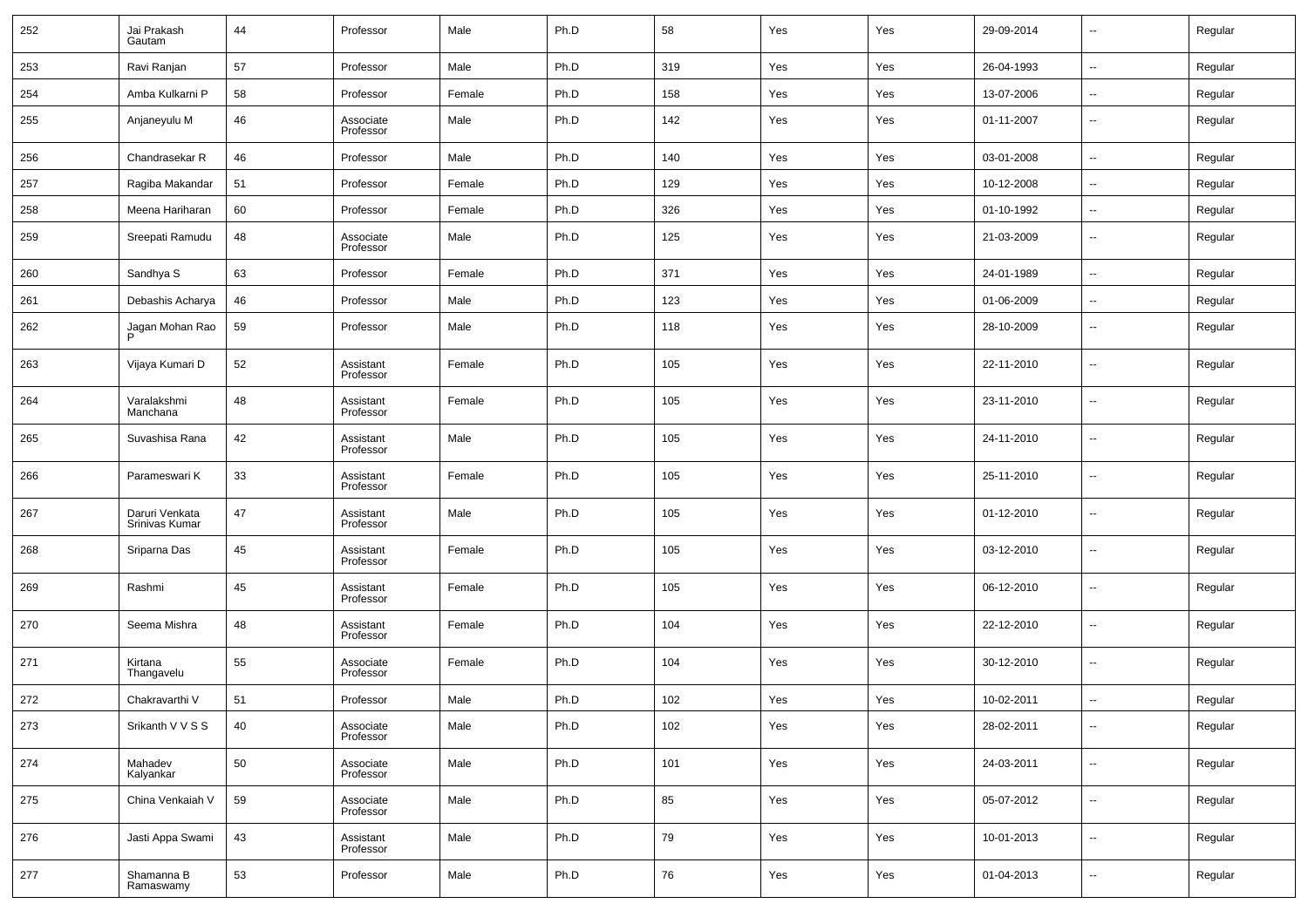| 252 | Jai Prakash<br>Gautam            | 44 | Professor              | Male   | Ph.D | 58  | Yes | Yes | 29-09-2014 | $\sim$                   | Regular |
|-----|----------------------------------|----|------------------------|--------|------|-----|-----|-----|------------|--------------------------|---------|
| 253 | Ravi Ranjan                      | 57 | Professor              | Male   | Ph.D | 319 | Yes | Yes | 26-04-1993 | $\overline{\phantom{a}}$ | Regular |
| 254 | Amba Kulkarni P                  | 58 | Professor              | Female | Ph.D | 158 | Yes | Yes | 13-07-2006 | $\overline{\phantom{a}}$ | Regular |
| 255 | Anjaneyulu M                     | 46 | Associate<br>Professor | Male   | Ph.D | 142 | Yes | Yes | 01-11-2007 | $\overline{\phantom{a}}$ | Regular |
| 256 | Chandrasekar R                   | 46 | Professor              | Male   | Ph.D | 140 | Yes | Yes | 03-01-2008 | $\overline{\phantom{a}}$ | Regular |
| 257 | Ragiba Makandar                  | 51 | Professor              | Female | Ph.D | 129 | Yes | Yes | 10-12-2008 | $\overline{\phantom{a}}$ | Regular |
| 258 | Meena Hariharan                  | 60 | Professor              | Female | Ph.D | 326 | Yes | Yes | 01-10-1992 | $\overline{\phantom{a}}$ | Regular |
| 259 | Sreepati Ramudu                  | 48 | Associate<br>Professor | Male   | Ph.D | 125 | Yes | Yes | 21-03-2009 | $\overline{\phantom{a}}$ | Regular |
| 260 | Sandhya S                        | 63 | Professor              | Female | Ph.D | 371 | Yes | Yes | 24-01-1989 | $\ddotsc$                | Regular |
| 261 | Debashis Acharya                 | 46 | Professor              | Male   | Ph.D | 123 | Yes | Yes | 01-06-2009 | $\overline{\phantom{a}}$ | Regular |
| 262 | Jagan Mohan Rao<br>D             | 59 | Professor              | Male   | Ph.D | 118 | Yes | Yes | 28-10-2009 | $\overline{\phantom{a}}$ | Regular |
| 263 | Vijaya Kumari D                  | 52 | Assistant<br>Professor | Female | Ph.D | 105 | Yes | Yes | 22-11-2010 | $\overline{\phantom{a}}$ | Regular |
| 264 | Varalakshmi<br>Manchana          | 48 | Assistant<br>Professor | Female | Ph.D | 105 | Yes | Yes | 23-11-2010 | $\overline{\phantom{a}}$ | Regular |
| 265 | Suvashisa Rana                   | 42 | Assistant<br>Professor | Male   | Ph.D | 105 | Yes | Yes | 24-11-2010 | $\overline{\phantom{a}}$ | Regular |
| 266 | Parameswari K                    | 33 | Assistant<br>Professor | Female | Ph.D | 105 | Yes | Yes | 25-11-2010 | $\overline{\phantom{a}}$ | Regular |
| 267 | Daruri Venkata<br>Srinivas Kumar | 47 | Assistant<br>Professor | Male   | Ph.D | 105 | Yes | Yes | 01-12-2010 | $\overline{\phantom{a}}$ | Regular |
| 268 | Sriparna Das                     | 45 | Assistant<br>Professor | Female | Ph.D | 105 | Yes | Yes | 03-12-2010 | $\overline{\phantom{a}}$ | Regular |
| 269 | Rashmi                           | 45 | Assistant<br>Professor | Female | Ph.D | 105 | Yes | Yes | 06-12-2010 | $\overline{\phantom{a}}$ | Regular |
| 270 | Seema Mishra                     | 48 | Assistant<br>Professor | Female | Ph.D | 104 | Yes | Yes | 22-12-2010 | $\overline{\phantom{a}}$ | Regular |
| 271 | Kirtana<br>Thangavelu            | 55 | Associate<br>Professor | Female | Ph.D | 104 | Yes | Yes | 30-12-2010 | $\overline{\phantom{a}}$ | Regular |
| 272 | Chakravarthi V                   | 51 | Professor              | Male   | Ph.D | 102 | Yes | Yes | 10-02-2011 | $\overline{\phantom{a}}$ | Regular |
| 273 | Srikanth V V S S                 | 40 | Associate<br>Professor | Male   | Ph.D | 102 | Yes | Yes | 28-02-2011 | $\overline{\phantom{a}}$ | Regular |
| 274 | Mahadev<br>Kalyankar             | 50 | Associate<br>Professor | Male   | Ph.D | 101 | Yes | Yes | 24-03-2011 | $\overline{\phantom{a}}$ | Regular |
| 275 | China Venkaiah V                 | 59 | Associate<br>Professor | Male   | Ph.D | 85  | Yes | Yes | 05-07-2012 | $\overline{\phantom{a}}$ | Regular |
| 276 | Jasti Appa Swami                 | 43 | Assistant<br>Professor | Male   | Ph.D | 79  | Yes | Yes | 10-01-2013 | $\overline{\phantom{a}}$ | Regular |
| 277 | Shamanna B<br>Ramaswamy          | 53 | Professor              | Male   | Ph.D | 76  | Yes | Yes | 01-04-2013 | $\overline{\phantom{a}}$ | Regular |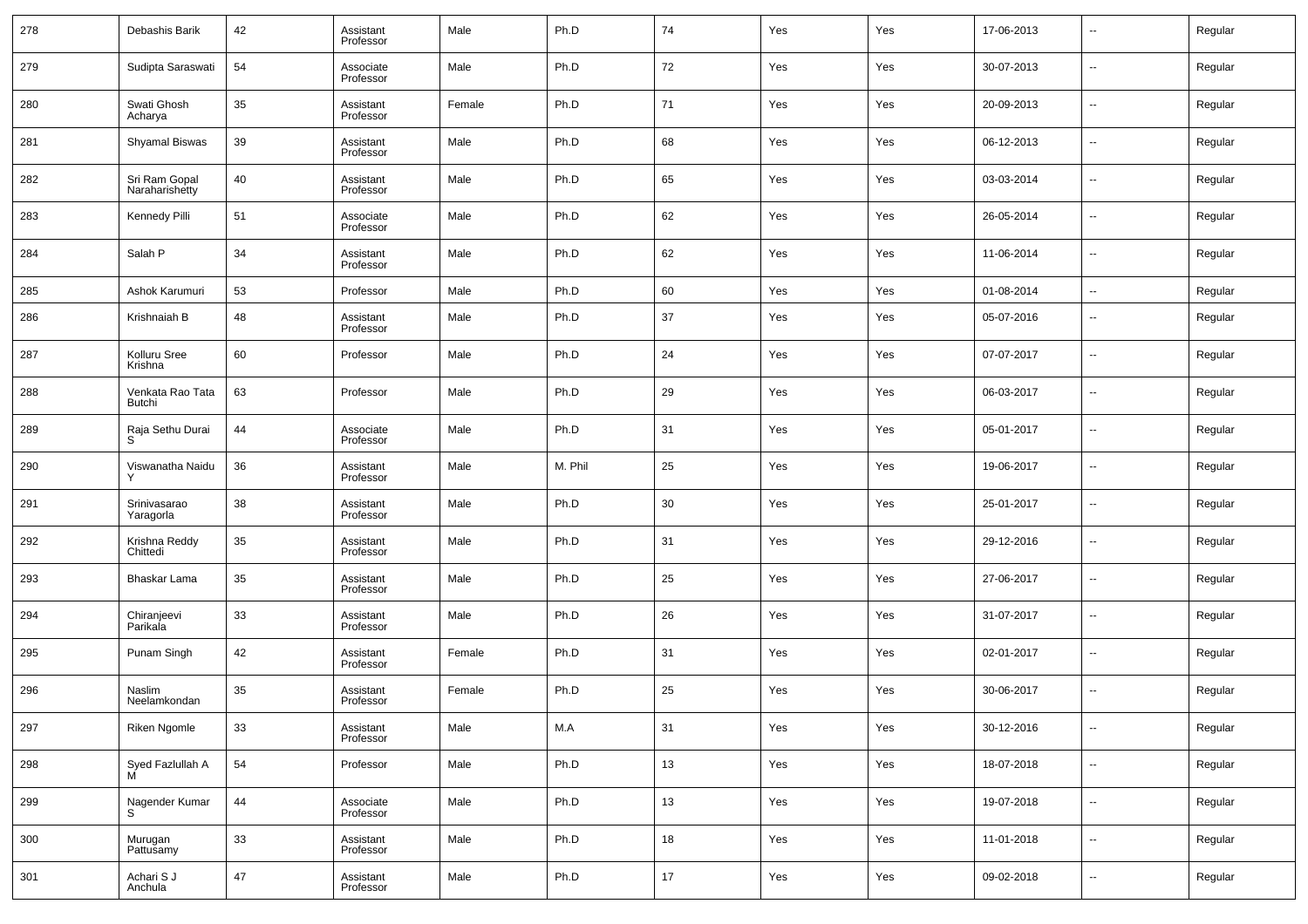| 278 | Debashis Barik                  | 42 | Assistant<br>Professor | Male   | Ph.D    | 74 | Yes | Yes | 17-06-2013 | $\overline{\phantom{a}}$ | Regular |
|-----|---------------------------------|----|------------------------|--------|---------|----|-----|-----|------------|--------------------------|---------|
| 279 | Sudipta Saraswati               | 54 | Associate<br>Professor | Male   | Ph.D    | 72 | Yes | Yes | 30-07-2013 | $\overline{\phantom{a}}$ | Regular |
| 280 | Swati Ghosh<br>Acharya          | 35 | Assistant<br>Professor | Female | Ph.D    | 71 | Yes | Yes | 20-09-2013 | $\overline{\phantom{a}}$ | Regular |
| 281 | Shyamal Biswas                  | 39 | Assistant<br>Professor | Male   | Ph.D    | 68 | Yes | Yes | 06-12-2013 | $\overline{\phantom{a}}$ | Regular |
| 282 | Sri Ram Gopal<br>Naraharishetty | 40 | Assistant<br>Professor | Male   | Ph.D    | 65 | Yes | Yes | 03-03-2014 | $\sim$                   | Regular |
| 283 | Kennedy Pilli                   | 51 | Associate<br>Professor | Male   | Ph.D    | 62 | Yes | Yes | 26-05-2014 | $\overline{\phantom{a}}$ | Regular |
| 284 | Salah P                         | 34 | Assistant<br>Professor | Male   | Ph.D    | 62 | Yes | Yes | 11-06-2014 | $\sim$                   | Regular |
| 285 | Ashok Karumuri                  | 53 | Professor              | Male   | Ph.D    | 60 | Yes | Yes | 01-08-2014 | $\overline{\phantom{a}}$ | Regular |
| 286 | Krishnaiah B                    | 48 | Assistant<br>Professor | Male   | Ph.D    | 37 | Yes | Yes | 05-07-2016 | $\sim$                   | Regular |
| 287 | Kolluru Sree<br>Krishna         | 60 | Professor              | Male   | Ph.D    | 24 | Yes | Yes | 07-07-2017 | --                       | Regular |
| 288 | Venkata Rao Tata<br>Butchi      | 63 | Professor              | Male   | Ph.D    | 29 | Yes | Yes | 06-03-2017 | $\sim$                   | Regular |
| 289 | Raja Sethu Durai<br>S           | 44 | Associate<br>Professor | Male   | Ph.D    | 31 | Yes | Yes | 05-01-2017 | --                       | Regular |
| 290 | Viswanatha Naidu                | 36 | Assistant<br>Professor | Male   | M. Phil | 25 | Yes | Yes | 19-06-2017 | $\sim$                   | Regular |
| 291 | Srinivasarao<br>Yaragorla       | 38 | Assistant<br>Professor | Male   | Ph.D    | 30 | Yes | Yes | 25-01-2017 | --                       | Regular |
| 292 | Krishna Reddy<br>Chittedi       | 35 | Assistant<br>Professor | Male   | Ph.D    | 31 | Yes | Yes | 29-12-2016 | $\overline{\phantom{a}}$ | Regular |
| 293 | Bhaskar Lama                    | 35 | Assistant<br>Professor | Male   | Ph.D    | 25 | Yes | Yes | 27-06-2017 | $\sim$                   | Regular |
| 294 | Chiranjeevi<br>Parikala         | 33 | Assistant<br>Professor | Male   | Ph.D    | 26 | Yes | Yes | 31-07-2017 | $\sim$                   | Regular |
| 295 | Punam Singh                     | 42 | Assistant<br>Professor | Female | Ph.D    | 31 | Yes | Yes | 02-01-2017 | $\sim$                   | Regular |
| 296 | Naslim<br>Neelamkondan          | 35 | Assistant<br>Professor | Female | Ph.D    | 25 | Yes | Yes | 30-06-2017 | --                       | Regular |
| 297 | Riken Ngomle                    | 33 | Assistant<br>Professor | Male   | M.A     | 31 | Yes | Yes | 30-12-2016 | $\sim$                   | Regular |
| 298 | Syed Fazlullah A                | 54 | Professor              | Male   | Ph.D    | 13 | Yes | Yes | 18-07-2018 | $\overline{\phantom{a}}$ | Regular |
| 299 | Nagender Kumar<br>S             | 44 | Associate<br>Professor | Male   | Ph.D    | 13 | Yes | Yes | 19-07-2018 | $\sim$                   | Regular |
| 300 | Murugan<br>Pattusamy            | 33 | Assistant<br>Professor | Male   | Ph.D    | 18 | Yes | Yes | 11-01-2018 | $\sim$                   | Regular |
| 301 | Achari S J<br>Anchula           | 47 | Assistant<br>Professor | Male   | Ph.D    | 17 | Yes | Yes | 09-02-2018 | $\sim$                   | Regular |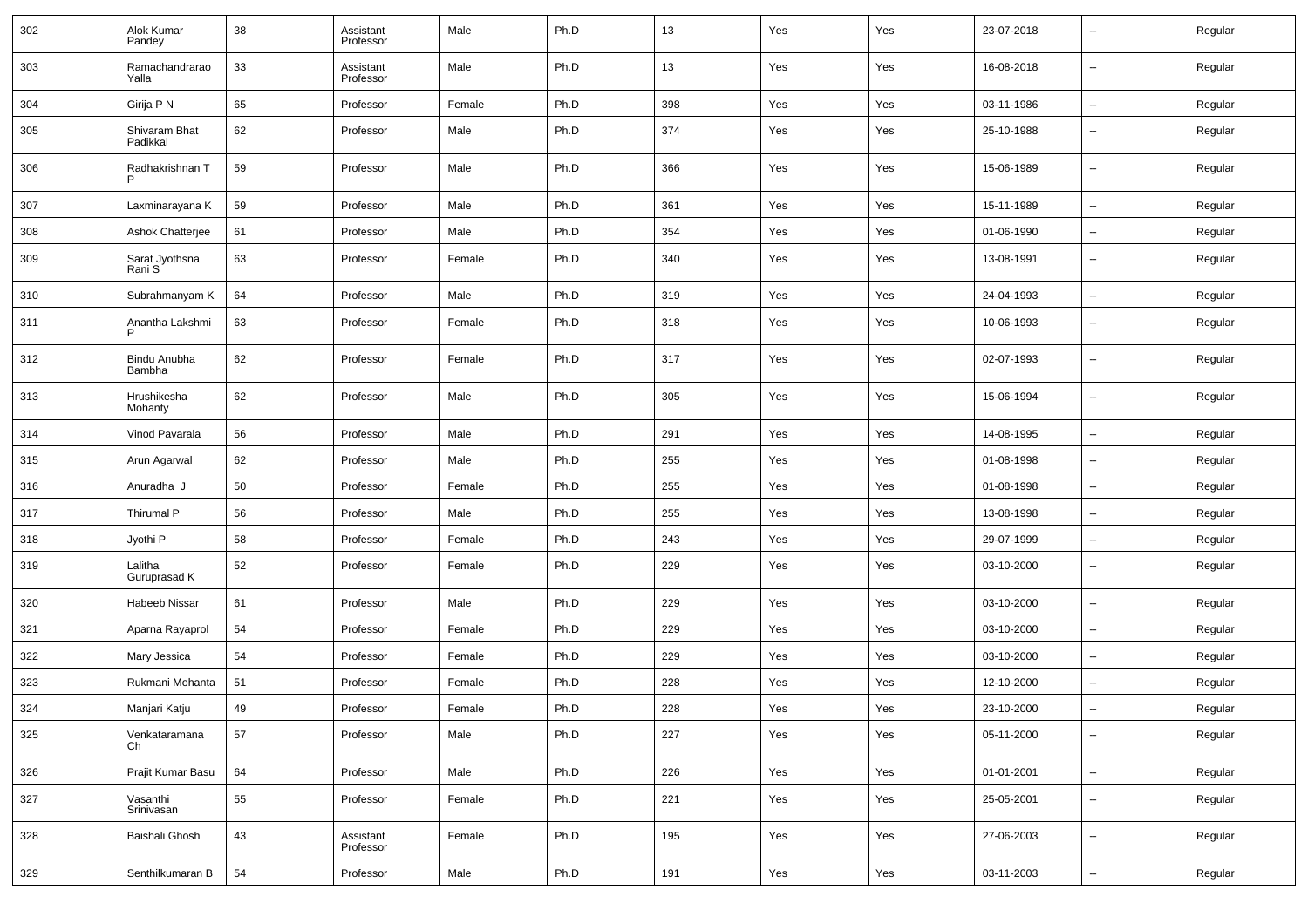| 302 | Alok Kumar<br>Pandey      | 38 | Assistant<br>Professor | Male   | Ph.D | 13  | Yes | Yes | 23-07-2018 | $\overline{\phantom{a}}$ | Regular |
|-----|---------------------------|----|------------------------|--------|------|-----|-----|-----|------------|--------------------------|---------|
| 303 | Ramachandrarao<br>Yalla   | 33 | Assistant<br>Professor | Male   | Ph.D | 13  | Yes | Yes | 16-08-2018 | --                       | Regular |
| 304 | Girija P N                | 65 | Professor              | Female | Ph.D | 398 | Yes | Yes | 03-11-1986 | Ξ.                       | Regular |
| 305 | Shivaram Bhat<br>Padikkal | 62 | Professor              | Male   | Ph.D | 374 | Yes | Yes | 25-10-1988 | --                       | Regular |
| 306 | Radhakrishnan T           | 59 | Professor              | Male   | Ph.D | 366 | Yes | Yes | 15-06-1989 | --                       | Regular |
| 307 | Laxminarayana K           | 59 | Professor              | Male   | Ph.D | 361 | Yes | Yes | 15-11-1989 | Ξ.                       | Regular |
| 308 | Ashok Chatterjee          | 61 | Professor              | Male   | Ph.D | 354 | Yes | Yes | 01-06-1990 | --                       | Regular |
| 309 | Sarat Jyothsna<br>Rani S  | 63 | Professor              | Female | Ph.D | 340 | Yes | Yes | 13-08-1991 | $\overline{\phantom{a}}$ | Regular |
| 310 | Subrahmanyam K            | 64 | Professor              | Male   | Ph.D | 319 | Yes | Yes | 24-04-1993 | --                       | Regular |
| 311 | Anantha Lakshmi<br>P      | 63 | Professor              | Female | Ph.D | 318 | Yes | Yes | 10-06-1993 | --                       | Regular |
| 312 | Bindu Anubha<br>Bambha    | 62 | Professor              | Female | Ph.D | 317 | Yes | Yes | 02-07-1993 | $\overline{\phantom{a}}$ | Regular |
| 313 | Hrushikesha<br>Mohanty    | 62 | Professor              | Male   | Ph.D | 305 | Yes | Yes | 15-06-1994 | --                       | Regular |
| 314 | Vinod Pavarala            | 56 | Professor              | Male   | Ph.D | 291 | Yes | Yes | 14-08-1995 | Ξ.                       | Regular |
| 315 | Arun Agarwal              | 62 | Professor              | Male   | Ph.D | 255 | Yes | Yes | 01-08-1998 | Ξ.                       | Regular |
| 316 | Anuradha J                | 50 | Professor              | Female | Ph.D | 255 | Yes | Yes | 01-08-1998 | Ξ.                       | Regular |
| 317 | Thirumal P                | 56 | Professor              | Male   | Ph.D | 255 | Yes | Yes | 13-08-1998 | --                       | Regular |
| 318 | Jyothi P                  | 58 | Professor              | Female | Ph.D | 243 | Yes | Yes | 29-07-1999 | --                       | Regular |
| 319 | Lalitha<br>Guruprasad K   | 52 | Professor              | Female | Ph.D | 229 | Yes | Yes | 03-10-2000 | $\overline{\phantom{a}}$ | Regular |
| 320 | Habeeb Nissar             | 61 | Professor              | Male   | Ph.D | 229 | Yes | Yes | 03-10-2000 | --                       | Regular |
| 321 | Aparna Rayaprol           | 54 | Professor              | Female | Ph.D | 229 | Yes | Yes | 03-10-2000 | Ξ.                       | Regular |
| 322 | Mary Jessica              | 54 | Professor              | Female | Ph.D | 229 | Yes | Yes | 03-10-2000 | Ξ.                       | Regular |
| 323 | Rukmani Mohanta           | 51 | Professor              | Female | Ph.D | 228 | Yes | Yes | 12-10-2000 | $\overline{\phantom{a}}$ | Regular |
| 324 | Manjari Katju             | 49 | Professor              | Female | Ph.D | 228 | Yes | Yes | 23-10-2000 | --                       | Regular |
| 325 | Venkataramana<br>Ch       | 57 | Professor              | Male   | Ph.D | 227 | Yes | Yes | 05-11-2000 | Ξ.                       | Regular |
| 326 | Prajit Kumar Basu         | 64 | Professor              | Male   | Ph.D | 226 | Yes | Yes | 01-01-2001 | щ.                       | Regular |
| 327 | Vasanthi<br>Srinivasan    | 55 | Professor              | Female | Ph.D | 221 | Yes | Yes | 25-05-2001 | --                       | Regular |
| 328 | Baishali Ghosh            | 43 | Assistant<br>Professor | Female | Ph.D | 195 | Yes | Yes | 27-06-2003 | $\sim$                   | Regular |
| 329 | Senthilkumaran B          | 54 | Professor              | Male   | Ph.D | 191 | Yes | Yes | 03-11-2003 | --                       | Regular |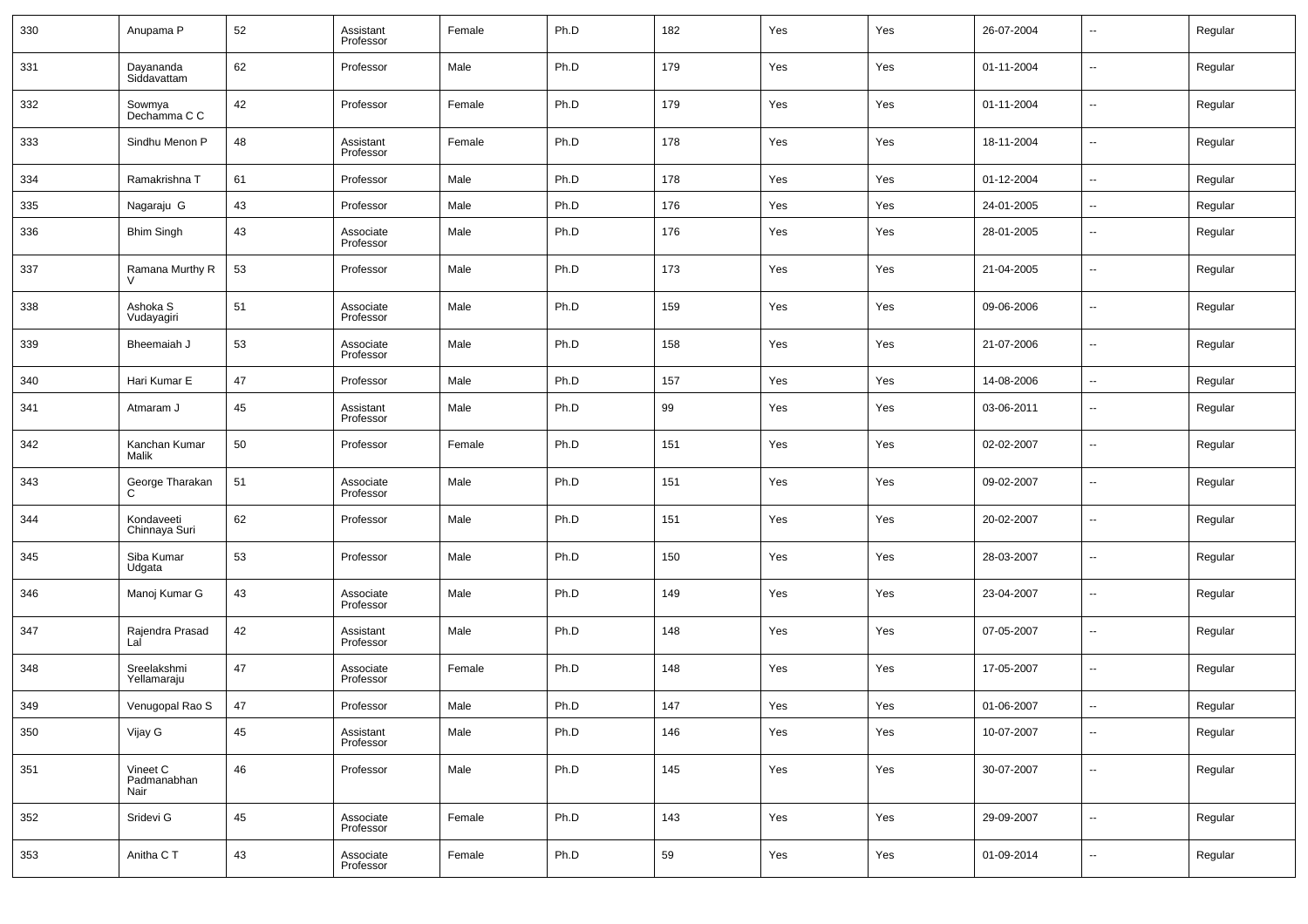| 330 | Anupama P                        | 52 | Assistant<br>Professor | Female | Ph.D | 182 | Yes | Yes | 26-07-2004 | $\overline{\phantom{a}}$ | Regular |
|-----|----------------------------------|----|------------------------|--------|------|-----|-----|-----|------------|--------------------------|---------|
| 331 | Dayananda<br>Siddavattam         | 62 | Professor              | Male   | Ph.D | 179 | Yes | Yes | 01-11-2004 | $\overline{\phantom{a}}$ | Regular |
| 332 | Sowmya<br>Dechamma C C           | 42 | Professor              | Female | Ph.D | 179 | Yes | Yes | 01-11-2004 | $\overline{\phantom{a}}$ | Regular |
| 333 | Sindhu Menon P                   | 48 | Assistant<br>Professor | Female | Ph.D | 178 | Yes | Yes | 18-11-2004 | $\overline{\phantom{a}}$ | Regular |
| 334 | Ramakrishna T                    | 61 | Professor              | Male   | Ph.D | 178 | Yes | Yes | 01-12-2004 | $\overline{\phantom{a}}$ | Regular |
| 335 | Nagaraju G                       | 43 | Professor              | Male   | Ph.D | 176 | Yes | Yes | 24-01-2005 | $\overline{\phantom{a}}$ | Regular |
| 336 | <b>Bhim Singh</b>                | 43 | Associate<br>Professor | Male   | Ph.D | 176 | Yes | Yes | 28-01-2005 | $\overline{\phantom{a}}$ | Regular |
| 337 | Ramana Murthy R<br>$\mathcal{U}$ | 53 | Professor              | Male   | Ph.D | 173 | Yes | Yes | 21-04-2005 | $\overline{\phantom{a}}$ | Regular |
| 338 | Ashoka S<br>Vudayagiri           | 51 | Associate<br>Professor | Male   | Ph.D | 159 | Yes | Yes | 09-06-2006 | $\overline{\phantom{a}}$ | Regular |
| 339 | Bheemaiah J                      | 53 | Associate<br>Professor | Male   | Ph.D | 158 | Yes | Yes | 21-07-2006 | $\overline{\phantom{a}}$ | Regular |
| 340 | Hari Kumar E                     | 47 | Professor              | Male   | Ph.D | 157 | Yes | Yes | 14-08-2006 | $\overline{\phantom{a}}$ | Regular |
| 341 | Atmaram J                        | 45 | Assistant<br>Professor | Male   | Ph.D | 99  | Yes | Yes | 03-06-2011 | $\overline{\phantom{a}}$ | Regular |
| 342 | Kanchan Kumar<br>Malik           | 50 | Professor              | Female | Ph.D | 151 | Yes | Yes | 02-02-2007 | $\overline{\phantom{a}}$ | Regular |
| 343 | George Tharakan<br>C             | 51 | Associate<br>Professor | Male   | Ph.D | 151 | Yes | Yes | 09-02-2007 | $\overline{\phantom{a}}$ | Regular |
| 344 | Kondaveeti<br>Chinnaya Suri      | 62 | Professor              | Male   | Ph.D | 151 | Yes | Yes | 20-02-2007 | $\overline{\phantom{a}}$ | Regular |
| 345 | Siba Kumar<br>Udgata             | 53 | Professor              | Male   | Ph.D | 150 | Yes | Yes | 28-03-2007 | $\overline{\phantom{a}}$ | Regular |
| 346 | Manoj Kumar G                    | 43 | Associate<br>Professor | Male   | Ph.D | 149 | Yes | Yes | 23-04-2007 | $\overline{\phantom{a}}$ | Regular |
| 347 | Rajendra Prasad<br>Lal           | 42 | Assistant<br>Professor | Male   | Ph.D | 148 | Yes | Yes | 07-05-2007 | $\overline{\phantom{a}}$ | Regular |
| 348 | Sreelakshmi<br>Yellamaraju       | 47 | Associate<br>Professor | Female | Ph.D | 148 | Yes | Yes | 17-05-2007 | $\overline{\phantom{a}}$ | Regular |
| 349 | Venugopal Rao S                  | 47 | Professor              | Male   | Ph.D | 147 | Yes | Yes | 01-06-2007 | $\overline{\phantom{a}}$ | Regular |
| 350 | Vijay G                          | 45 | Assistant<br>Professor | Male   | Ph.D | 146 | Yes | Yes | 10-07-2007 | $\overline{\phantom{a}}$ | Regular |
| 351 | Vineet C<br>Padmanabhan<br>Nair  | 46 | Professor              | Male   | Ph.D | 145 | Yes | Yes | 30-07-2007 | $\overline{\phantom{a}}$ | Regular |
| 352 | Sridevi G                        | 45 | Associate<br>Professor | Female | Ph.D | 143 | Yes | Yes | 29-09-2007 | $\overline{\phantom{a}}$ | Regular |
| 353 | Anitha C T                       | 43 | Associate<br>Professor | Female | Ph.D | 59  | Yes | Yes | 01-09-2014 | ۰.                       | Regular |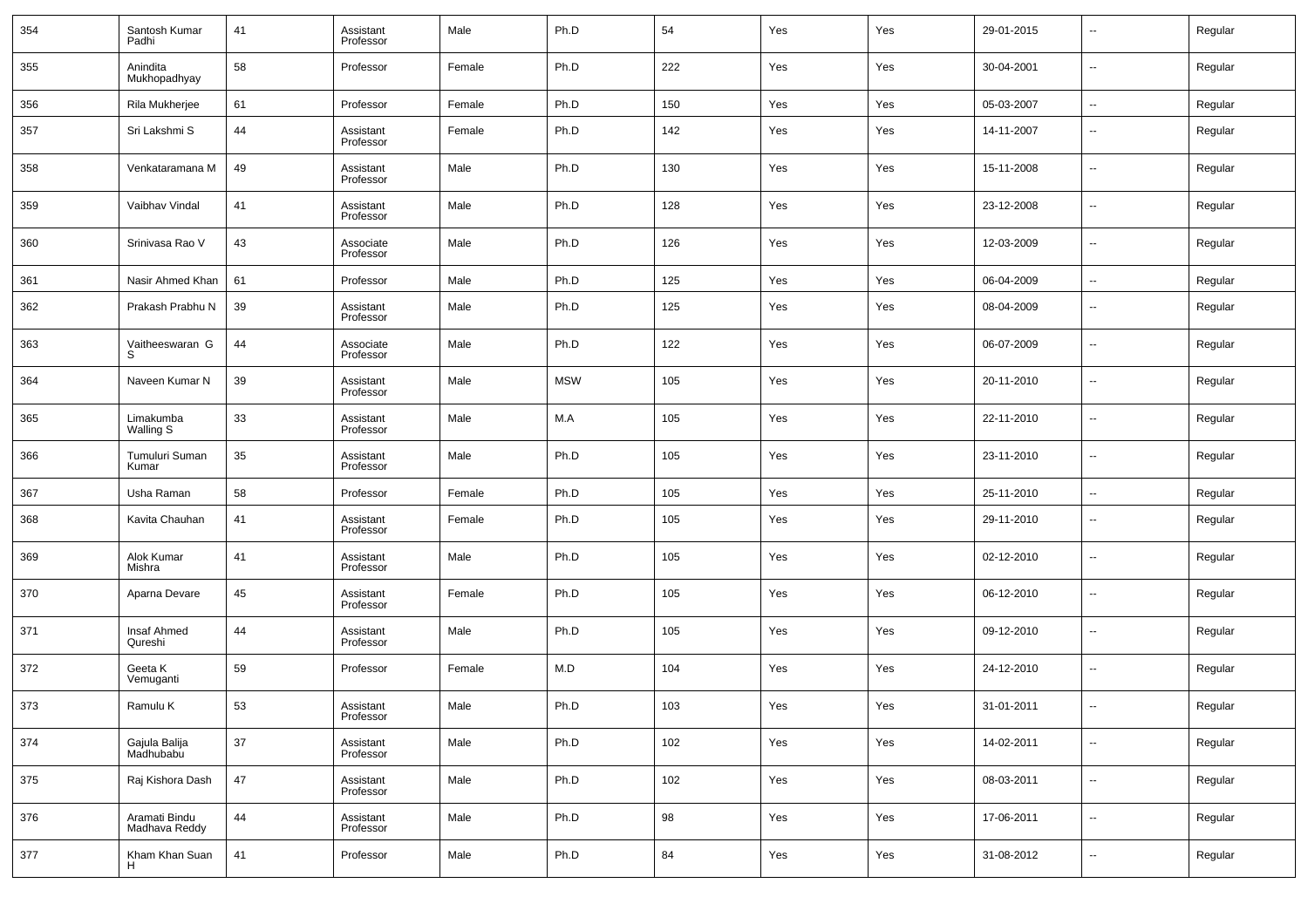| 354 | Santosh Kumar<br>Padhi         | 41 | Assistant<br>Professor | Male   | Ph.D       | 54  | Yes | Yes | 29-01-2015 | $\overline{\phantom{a}}$ | Regular |
|-----|--------------------------------|----|------------------------|--------|------------|-----|-----|-----|------------|--------------------------|---------|
| 355 | Anindita<br>Mukhopadhyay       | 58 | Professor              | Female | Ph.D       | 222 | Yes | Yes | 30-04-2001 | $\overline{\phantom{a}}$ | Regular |
| 356 | Rila Mukherjee                 | 61 | Professor              | Female | Ph.D       | 150 | Yes | Yes | 05-03-2007 | $\overline{\phantom{a}}$ | Regular |
| 357 | Sri Lakshmi S                  | 44 | Assistant<br>Professor | Female | Ph.D       | 142 | Yes | Yes | 14-11-2007 | $\overline{\phantom{a}}$ | Regular |
| 358 | Venkataramana M                | 49 | Assistant<br>Professor | Male   | Ph.D       | 130 | Yes | Yes | 15-11-2008 | $\overline{\phantom{a}}$ | Regular |
| 359 | Vaibhav Vindal                 | 41 | Assistant<br>Professor | Male   | Ph.D       | 128 | Yes | Yes | 23-12-2008 | $\overline{\phantom{a}}$ | Regular |
| 360 | Srinivasa Rao V                | 43 | Associate<br>Professor | Male   | Ph.D       | 126 | Yes | Yes | 12-03-2009 | $\overline{\phantom{a}}$ | Regular |
| 361 | Nasir Ahmed Khan               | 61 | Professor              | Male   | Ph.D       | 125 | Yes | Yes | 06-04-2009 | $\overline{\phantom{a}}$ | Regular |
| 362 | Prakash Prabhu N               | 39 | Assistant<br>Professor | Male   | Ph.D       | 125 | Yes | Yes | 08-04-2009 | $\overline{\phantom{a}}$ | Regular |
| 363 | Vaitheeswaran G<br>S.          | 44 | Associate<br>Professor | Male   | Ph.D       | 122 | Yes | Yes | 06-07-2009 | $\overline{\phantom{a}}$ | Regular |
| 364 | Naveen Kumar N                 | 39 | Assistant<br>Professor | Male   | <b>MSW</b> | 105 | Yes | Yes | 20-11-2010 | $\overline{\phantom{a}}$ | Regular |
| 365 | Limakumba<br>Walling S         | 33 | Assistant<br>Professor | Male   | M.A        | 105 | Yes | Yes | 22-11-2010 | $\overline{\phantom{a}}$ | Regular |
| 366 | Tumuluri Suman<br>Kumar        | 35 | Assistant<br>Professor | Male   | Ph.D       | 105 | Yes | Yes | 23-11-2010 | $\overline{\phantom{a}}$ | Regular |
| 367 | Usha Raman                     | 58 | Professor              | Female | Ph.D       | 105 | Yes | Yes | 25-11-2010 | $\overline{\phantom{a}}$ | Regular |
| 368 | Kavita Chauhan                 | 41 | Assistant<br>Professor | Female | Ph.D       | 105 | Yes | Yes | 29-11-2010 | $\overline{\phantom{a}}$ | Regular |
| 369 | Alok Kumar<br>Mishra           | 41 | Assistant<br>Professor | Male   | Ph.D       | 105 | Yes | Yes | 02-12-2010 | $\overline{\phantom{a}}$ | Regular |
| 370 | Aparna Devare                  | 45 | Assistant<br>Professor | Female | Ph.D       | 105 | Yes | Yes | 06-12-2010 | $\overline{\phantom{a}}$ | Regular |
| 371 | Insaf Ahmed<br>Qureshi         | 44 | Assistant<br>Professor | Male   | Ph.D       | 105 | Yes | Yes | 09-12-2010 | $\overline{\phantom{a}}$ | Regular |
| 372 | Geeta K<br>Vemuganti           | 59 | Professor              | Female | M.D        | 104 | Yes | Yes | 24-12-2010 | $\overline{\phantom{a}}$ | Regular |
| 373 | Ramulu K                       | 53 | Assistant<br>Professor | Male   | Ph.D       | 103 | Yes | Yes | 31-01-2011 | $\overline{\phantom{a}}$ | Regular |
| 374 | Gajula Balija<br>Madhubabu     | 37 | Assistant<br>Professor | Male   | Ph.D       | 102 | Yes | Yes | 14-02-2011 | $\overline{\phantom{a}}$ | Regular |
| 375 | Raj Kishora Dash               | 47 | Assistant<br>Professor | Male   | Ph.D       | 102 | Yes | Yes | 08-03-2011 | $\overline{\phantom{a}}$ | Regular |
| 376 | Aramati Bindu<br>Madhava Reddy | 44 | Assistant<br>Professor | Male   | Ph.D       | 98  | Yes | Yes | 17-06-2011 | $\overline{\phantom{a}}$ | Regular |
| 377 | Kham Khan Suan<br>H            | 41 | Professor              | Male   | Ph.D       | 84  | Yes | Yes | 31-08-2012 | $\overline{\phantom{a}}$ | Regular |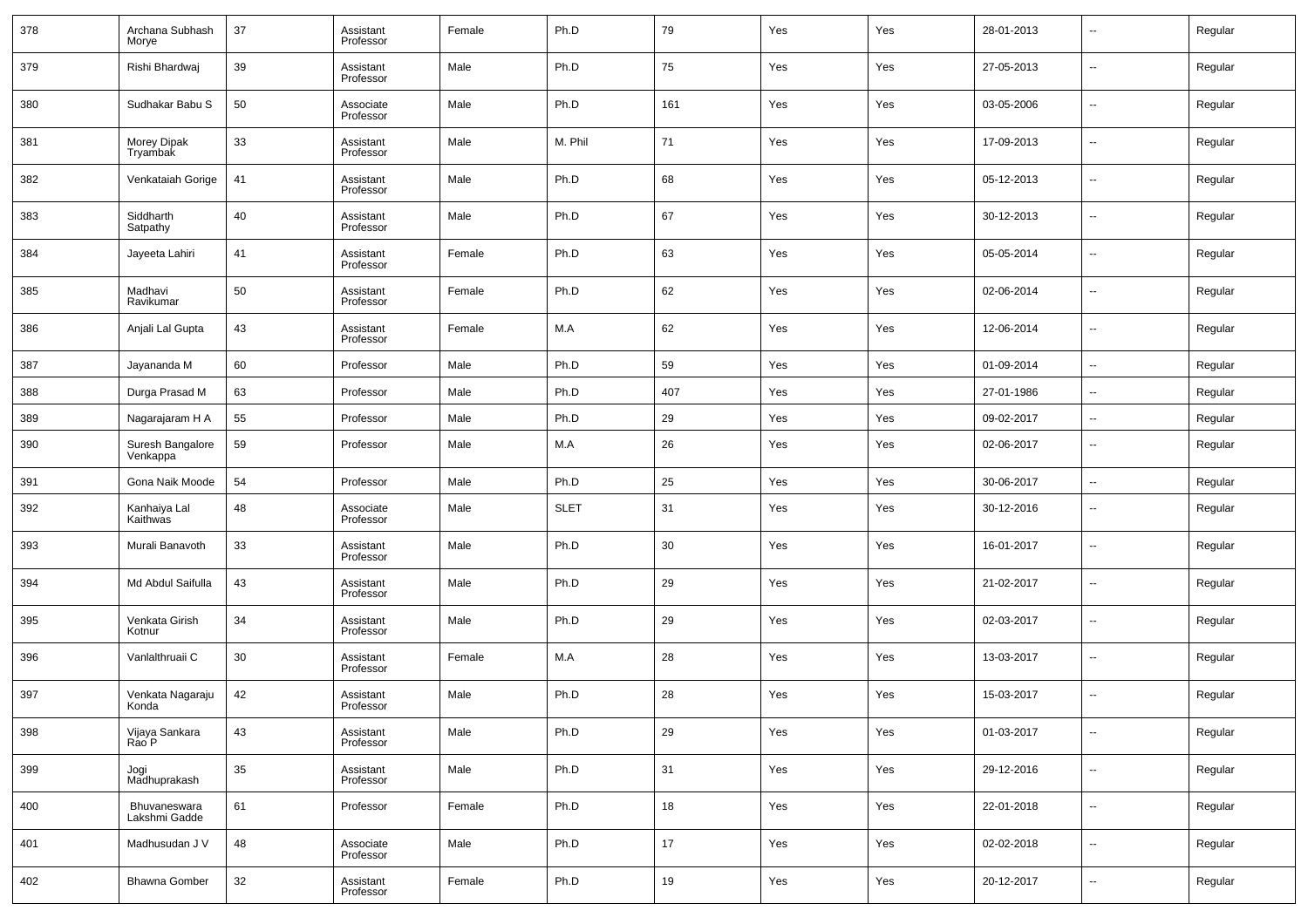| 378 | Archana Subhash<br>Morye      | 37 | Assistant<br>Professor | Female | Ph.D        | 79  | Yes | Yes | 28-01-2013 | $\overline{\phantom{a}}$ | Regular |
|-----|-------------------------------|----|------------------------|--------|-------------|-----|-----|-----|------------|--------------------------|---------|
| 379 | Rishi Bhardwaj                | 39 | Assistant<br>Professor | Male   | Ph.D        | 75  | Yes | Yes | 27-05-2013 | --                       | Regular |
| 380 | Sudhakar Babu S               | 50 | Associate<br>Professor | Male   | Ph.D        | 161 | Yes | Yes | 03-05-2006 | ш.                       | Regular |
| 381 | Morey Dipak<br>Tryambak       | 33 | Assistant<br>Professor | Male   | M. Phil     | 71  | Yes | Yes | 17-09-2013 | $\sim$                   | Regular |
| 382 | Venkataiah Gorige             | 41 | Assistant<br>Professor | Male   | Ph.D        | 68  | Yes | Yes | 05-12-2013 | ш.                       | Regular |
| 383 | Siddharth<br>Satpathy         | 40 | Assistant<br>Professor | Male   | Ph.D        | 67  | Yes | Yes | 30-12-2013 | $\overline{\phantom{a}}$ | Regular |
| 384 | Jayeeta Lahiri                | 41 | Assistant<br>Professor | Female | Ph.D        | 63  | Yes | Yes | 05-05-2014 | ш,                       | Regular |
| 385 | Madhavi<br>Ravikumar          | 50 | Assistant<br>Professor | Female | Ph.D        | 62  | Yes | Yes | 02-06-2014 | $\overline{\phantom{a}}$ | Regular |
| 386 | Anjali Lal Gupta              | 43 | Assistant<br>Professor | Female | M.A         | 62  | Yes | Yes | 12-06-2014 | --                       | Regular |
| 387 | Jayananda M                   | 60 | Professor              | Male   | Ph.D        | 59  | Yes | Yes | 01-09-2014 | $\overline{\phantom{a}}$ | Regular |
| 388 | Durga Prasad M                | 63 | Professor              | Male   | Ph.D        | 407 | Yes | Yes | 27-01-1986 | $\overline{\phantom{a}}$ | Regular |
| 389 | Nagarajaram H A               | 55 | Professor              | Male   | Ph.D        | 29  | Yes | Yes | 09-02-2017 | --                       | Regular |
| 390 | Suresh Bangalore<br>Venkappa  | 59 | Professor              | Male   | M.A         | 26  | Yes | Yes | 02-06-2017 | --                       | Regular |
| 391 | Gona Naik Moode               | 54 | Professor              | Male   | Ph.D        | 25  | Yes | Yes | 30-06-2017 | ш,                       | Regular |
| 392 | Kanhaiya Lal<br>Kaithwas      | 48 | Associate<br>Professor | Male   | <b>SLET</b> | 31  | Yes | Yes | 30-12-2016 | $\overline{a}$           | Regular |
| 393 | Murali Banavoth               | 33 | Assistant<br>Professor | Male   | Ph.D        | 30  | Yes | Yes | 16-01-2017 | $\sim$                   | Regular |
| 394 | Md Abdul Saifulla             | 43 | Assistant<br>Professor | Male   | Ph.D        | 29  | Yes | Yes | 21-02-2017 | $\overline{a}$           | Regular |
| 395 | Venkata Girish<br>Kotnur      | 34 | Assistant<br>Professor | Male   | Ph.D        | 29  | Yes | Yes | 02-03-2017 | $\sim$                   | Regular |
| 396 | Vanlalthruaii C               | 30 | Assistant<br>Professor | Female | M.A         | 28  | Yes | Yes | 13-03-2017 | --                       | Regular |
| 397 | Venkata Nagaraju<br>Konda     | 42 | Assistant<br>Professor | Male   | Ph.D        | 28  | Yes | Yes | 15-03-2017 | $\overline{a}$           | Regular |
| 398 | Vijaya Sankara<br>Rao P       | 43 | Assistant<br>Professor | Male   | Ph.D        | 29  | Yes | Yes | 01-03-2017 | --                       | Regular |
| 399 | Jogi<br>Madhuprakash          | 35 | Assistant<br>Professor | Male   | Ph.D        | 31  | Yes | Yes | 29-12-2016 | $\overline{\phantom{a}}$ | Regular |
| 400 | Bhuvaneswara<br>Lakshmi Gadde | 61 | Professor              | Female | Ph.D        | 18  | Yes | Yes | 22-01-2018 | $\sim$                   | Regular |
| 401 | Madhusudan J V                | 48 | Associate<br>Professor | Male   | Ph.D        | 17  | Yes | Yes | 02-02-2018 | $\overline{\phantom{a}}$ | Regular |
| 402 | <b>Bhawna Gomber</b>          | 32 | Assistant<br>Professor | Female | Ph.D        | 19  | Yes | Yes | 20-12-2017 | $\sim$                   | Regular |